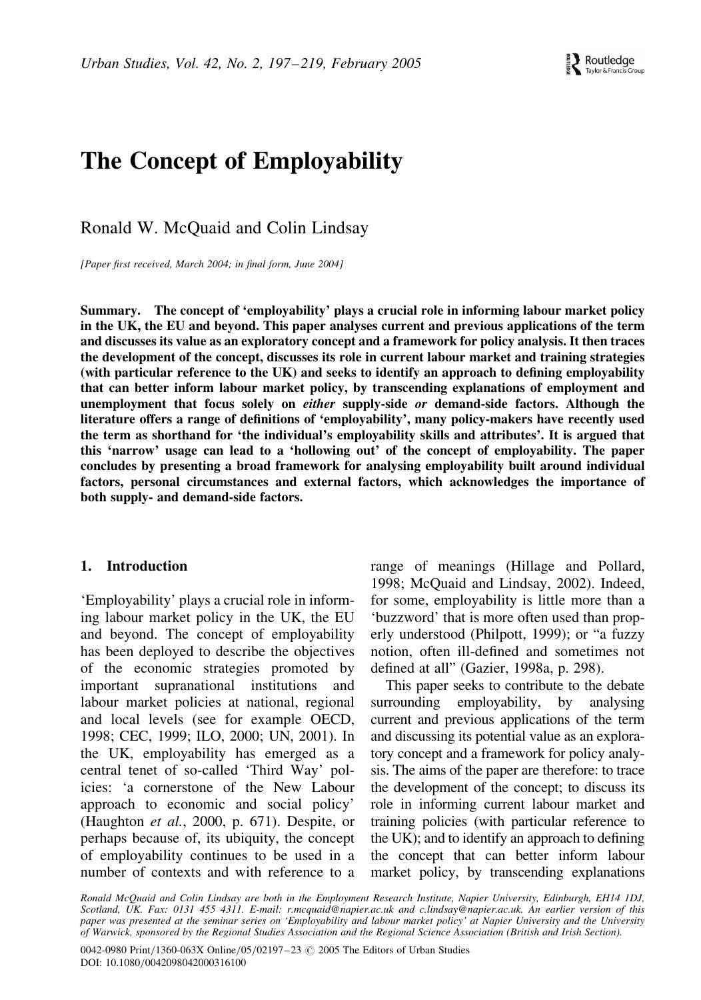# The Concept of Employability

Ronald W. McQuaid and Colin Lindsay

[Paper first received, March 2004; in final form, June 2004]

Summary. The concept of 'employability' plays a crucial role in informing labour market policy in the UK, the EU and beyond. This paper analyses current and previous applications of the term and discusses its value as an exploratory concept and a framework for policy analysis. It then traces the development of the concept, discusses its role in current labour market and training strategies (with particular reference to the UK) and seeks to identify an approach to defining employability that can better inform labour market policy, by transcending explanations of employment and unemployment that focus solely on either supply-side or demand-side factors. Although the literature offers a range of definitions of 'employability', many policy-makers have recently used the term as shorthand for 'the individual's employability skills and attributes'. It is argued that this 'narrow' usage can lead to a 'hollowing out' of the concept of employability. The paper concludes by presenting a broad framework for analysing employability built around individual factors, personal circumstances and external factors, which acknowledges the importance of both supply- and demand-side factors.

#### 1. Introduction

'Employability' plays a crucial role in informing labour market policy in the UK, the EU and beyond. The concept of employability has been deployed to describe the objectives of the economic strategies promoted by important supranational institutions and labour market policies at national, regional and local levels (see for example OECD, 1998; CEC, 1999; ILO, 2000; UN, 2001). In the UK, employability has emerged as a central tenet of so-called 'Third Way' policies: 'a cornerstone of the New Labour approach to economic and social policy' (Haughton et al., 2000, p. 671). Despite, or perhaps because of, its ubiquity, the concept of employability continues to be used in a number of contexts and with reference to a range of meanings (Hillage and Pollard, 1998; McQuaid and Lindsay, 2002). Indeed, for some, employability is little more than a 'buzzword' that is more often used than properly understood (Philpott, 1999); or "a fuzzy notion, often ill-defined and sometimes not defined at all" (Gazier, 1998a, p. 298).

This paper seeks to contribute to the debate surrounding employability, by analysing current and previous applications of the term and discussing its potential value as an exploratory concept and a framework for policy analysis. The aims of the paper are therefore: to trace the development of the concept; to discuss its role in informing current labour market and training policies (with particular reference to the UK); and to identify an approach to defining the concept that can better inform labour market policy, by transcending explanations

Ronald McQuaid and Colin Lindsay are both in the Employment Research Institute, Napier University, Edinburgh, EH14 1DJ, Scotland, UK. Fax: 0131 455 4311. E-mail: r.mcquaid@napier.ac.uk and c.lindsay@napier.ac.uk. An earlier version of this paper was presented at the seminar series on 'Employability and labour market policy' at Napier University and the University of Warwick, sponsored by the Regional Studies Association and the Regional Science Association (British and Irish Section).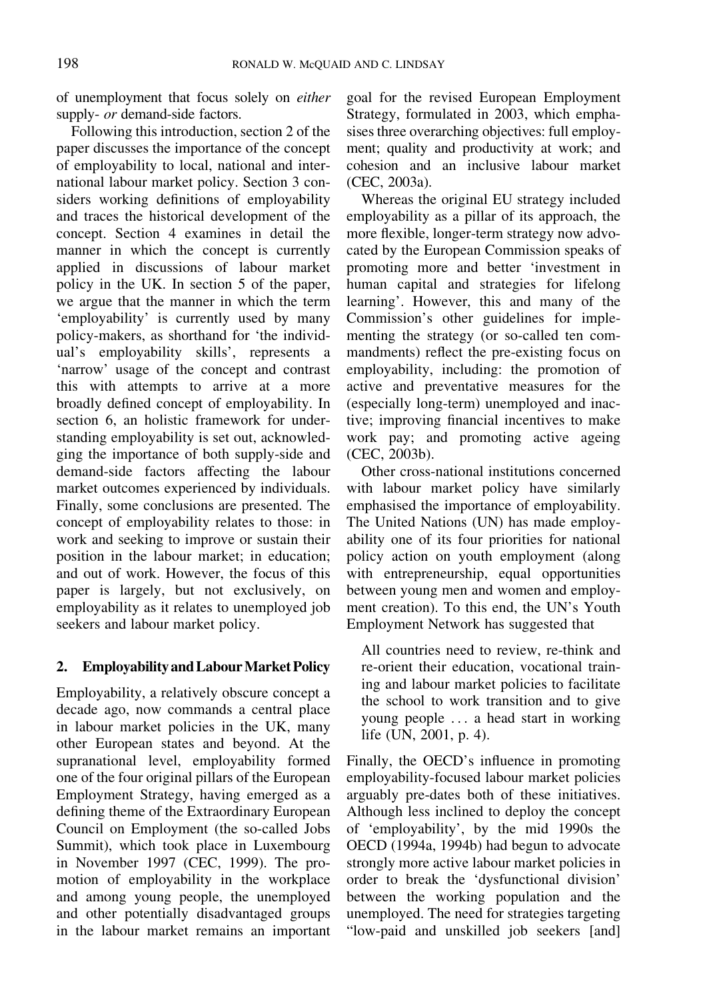of unemployment that focus solely on either supply- or demand-side factors.

Following this introduction, section 2 of the paper discusses the importance of the concept of employability to local, national and international labour market policy. Section 3 considers working definitions of employability and traces the historical development of the concept. Section 4 examines in detail the manner in which the concept is currently applied in discussions of labour market policy in the UK. In section 5 of the paper, we argue that the manner in which the term 'employability' is currently used by many policy-makers, as shorthand for 'the individual's employability skills', represents a 'narrow' usage of the concept and contrast this with attempts to arrive at a more broadly defined concept of employability. In section 6, an holistic framework for understanding employability is set out, acknowledging the importance of both supply-side and demand-side factors affecting the labour market outcomes experienced by individuals. Finally, some conclusions are presented. The concept of employability relates to those: in work and seeking to improve or sustain their position in the labour market; in education; and out of work. However, the focus of this paper is largely, but not exclusively, on employability as it relates to unemployed job seekers and labour market policy.

## 2. Employabilityand Labour Market Policy

Employability, a relatively obscure concept a decade ago, now commands a central place in labour market policies in the UK, many other European states and beyond. At the supranational level, employability formed one of the four original pillars of the European Employment Strategy, having emerged as a defining theme of the Extraordinary European Council on Employment (the so-called Jobs Summit), which took place in Luxembourg in November 1997 (CEC, 1999). The promotion of employability in the workplace and among young people, the unemployed and other potentially disadvantaged groups in the labour market remains an important goal for the revised European Employment Strategy, formulated in 2003, which emphasises three overarching objectives: full employment; quality and productivity at work; and cohesion and an inclusive labour market (CEC, 2003a).

Whereas the original EU strategy included employability as a pillar of its approach, the more flexible, longer-term strategy now advocated by the European Commission speaks of promoting more and better 'investment in human capital and strategies for lifelong learning'. However, this and many of the Commission's other guidelines for implementing the strategy (or so-called ten commandments) reflect the pre-existing focus on employability, including: the promotion of active and preventative measures for the (especially long-term) unemployed and inactive; improving financial incentives to make work pay; and promoting active ageing (CEC, 2003b).

Other cross-national institutions concerned with labour market policy have similarly emphasised the importance of employability. The United Nations (UN) has made employability one of its four priorities for national policy action on youth employment (along with entrepreneurship, equal opportunities between young men and women and employment creation). To this end, the UN's Youth Employment Network has suggested that

All countries need to review, re-think and re-orient their education, vocational training and labour market policies to facilitate the school to work transition and to give young people ... a head start in working life (UN, 2001, p. 4).

Finally, the OECD's influence in promoting employability-focused labour market policies arguably pre-dates both of these initiatives. Although less inclined to deploy the concept of 'employability', by the mid 1990s the OECD (1994a, 1994b) had begun to advocate strongly more active labour market policies in order to break the 'dysfunctional division' between the working population and the unemployed. The need for strategies targeting "low-paid and unskilled job seekers [and]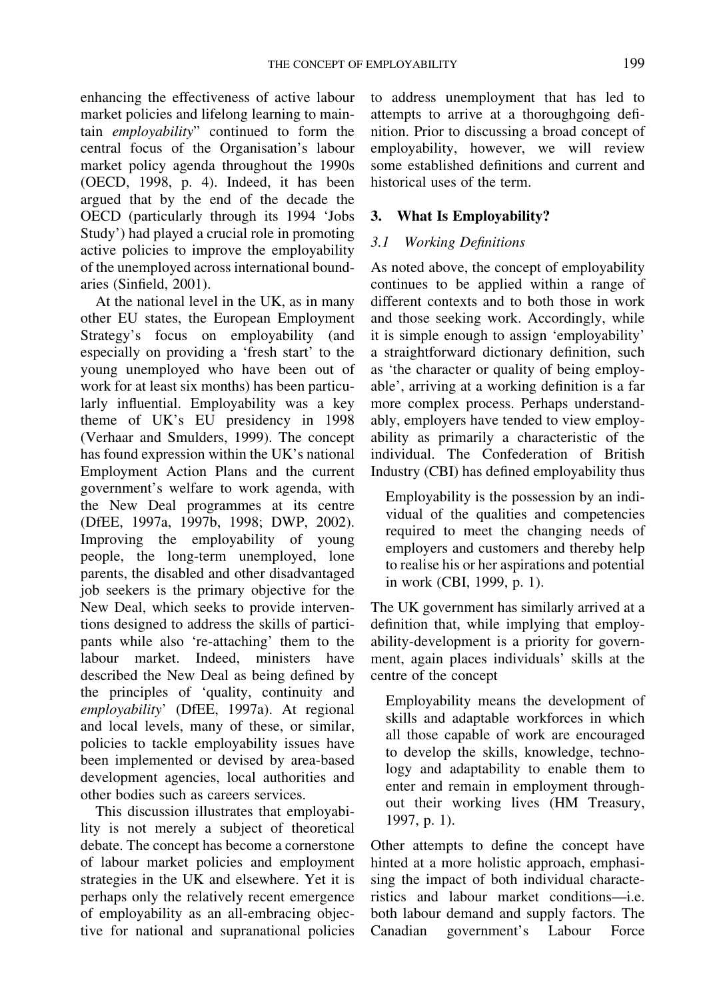enhancing the effectiveness of active labour market policies and lifelong learning to maintain employability" continued to form the central focus of the Organisation's labour market policy agenda throughout the 1990s (OECD, 1998, p. 4). Indeed, it has been argued that by the end of the decade the OECD (particularly through its 1994 'Jobs Study') had played a crucial role in promoting active policies to improve the employability of the unemployed across international boundaries (Sinfield, 2001).

At the national level in the UK, as in many other EU states, the European Employment Strategy's focus on employability (and especially on providing a 'fresh start' to the young unemployed who have been out of work for at least six months) has been particularly influential. Employability was a key theme of UK's EU presidency in 1998 (Verhaar and Smulders, 1999). The concept has found expression within the UK's national Employment Action Plans and the current government's welfare to work agenda, with the New Deal programmes at its centre (DfEE, 1997a, 1997b, 1998; DWP, 2002). Improving the employability of young people, the long-term unemployed, lone parents, the disabled and other disadvantaged job seekers is the primary objective for the New Deal, which seeks to provide interventions designed to address the skills of participants while also 're-attaching' them to the labour market. Indeed, ministers have described the New Deal as being defined by the principles of 'quality, continuity and employability' (DfEE, 1997a). At regional and local levels, many of these, or similar, policies to tackle employability issues have been implemented or devised by area-based development agencies, local authorities and other bodies such as careers services.

This discussion illustrates that employability is not merely a subject of theoretical debate. The concept has become a cornerstone of labour market policies and employment strategies in the UK and elsewhere. Yet it is perhaps only the relatively recent emergence of employability as an all-embracing objective for national and supranational policies to address unemployment that has led to attempts to arrive at a thoroughgoing definition. Prior to discussing a broad concept of employability, however, we will review some established definitions and current and historical uses of the term.

# 3. What Is Employability?

#### 3.1 Working Definitions

As noted above, the concept of employability continues to be applied within a range of different contexts and to both those in work and those seeking work. Accordingly, while it is simple enough to assign 'employability' a straightforward dictionary definition, such as 'the character or quality of being employable', arriving at a working definition is a far more complex process. Perhaps understandably, employers have tended to view employability as primarily a characteristic of the individual. The Confederation of British Industry (CBI) has defined employability thus

Employability is the possession by an individual of the qualities and competencies required to meet the changing needs of employers and customers and thereby help to realise his or her aspirations and potential in work (CBI, 1999, p. 1).

The UK government has similarly arrived at a definition that, while implying that employability-development is a priority for government, again places individuals' skills at the centre of the concept

Employability means the development of skills and adaptable workforces in which all those capable of work are encouraged to develop the skills, knowledge, technology and adaptability to enable them to enter and remain in employment throughout their working lives (HM Treasury, 1997, p. 1).

Other attempts to define the concept have hinted at a more holistic approach, emphasising the impact of both individual characteristics and labour market conditions—i.e. both labour demand and supply factors. The Canadian government's Labour Force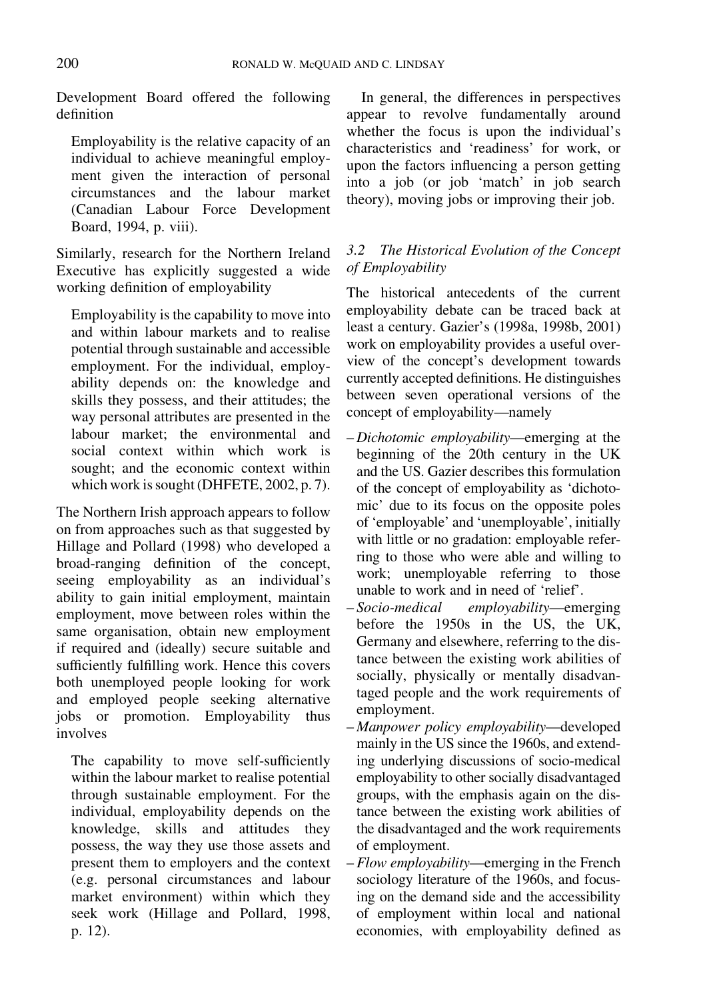Development Board offered the following definition

Employability is the relative capacity of an individual to achieve meaningful employment given the interaction of personal circumstances and the labour market (Canadian Labour Force Development Board, 1994, p. viii).

Similarly, research for the Northern Ireland Executive has explicitly suggested a wide working definition of employability

Employability is the capability to move into and within labour markets and to realise potential through sustainable and accessible employment. For the individual, employability depends on: the knowledge and skills they possess, and their attitudes; the way personal attributes are presented in the labour market; the environmental and social context within which work is sought; and the economic context within which work is sought (DHFETE, 2002, p. 7).

The Northern Irish approach appears to follow on from approaches such as that suggested by Hillage and Pollard (1998) who developed a broad-ranging definition of the concept, seeing employability as an individual's ability to gain initial employment, maintain employment, move between roles within the same organisation, obtain new employment if required and (ideally) secure suitable and sufficiently fulfilling work. Hence this covers both unemployed people looking for work and employed people seeking alternative jobs or promotion. Employability thus involves

The capability to move self-sufficiently within the labour market to realise potential through sustainable employment. For the individual, employability depends on the knowledge, skills and attitudes they possess, the way they use those assets and present them to employers and the context (e.g. personal circumstances and labour market environment) within which they seek work (Hillage and Pollard, 1998, p. 12).

In general, the differences in perspectives appear to revolve fundamentally around whether the focus is upon the individual's characteristics and 'readiness' for work, or upon the factors influencing a person getting into a job (or job 'match' in job search theory), moving jobs or improving their job.

# 3.2 The Historical Evolution of the Concept of Employability

The historical antecedents of the current employability debate can be traced back at least a century. Gazier's (1998a, 1998b, 2001) work on employability provides a useful overview of the concept's development towards currently accepted definitions. He distinguishes between seven operational versions of the concept of employability—namely

- Dichotomic employability—emerging at the beginning of the 20th century in the UK and the US. Gazier describes this formulation of the concept of employability as 'dichotomic' due to its focus on the opposite poles of 'employable' and 'unemployable', initially with little or no gradation: employable referring to those who were able and willing to work; unemployable referring to those unable to work and in need of 'relief'.
- Socio-medical employability—emerging before the 1950s in the US, the UK, Germany and elsewhere, referring to the distance between the existing work abilities of socially, physically or mentally disadvantaged people and the work requirements of employment.
- Manpower policy employability—developed mainly in the US since the 1960s, and extending underlying discussions of socio-medical employability to other socially disadvantaged groups, with the emphasis again on the distance between the existing work abilities of the disadvantaged and the work requirements of employment.
- Flow employability—emerging in the French sociology literature of the 1960s, and focusing on the demand side and the accessibility of employment within local and national economies, with employability defined as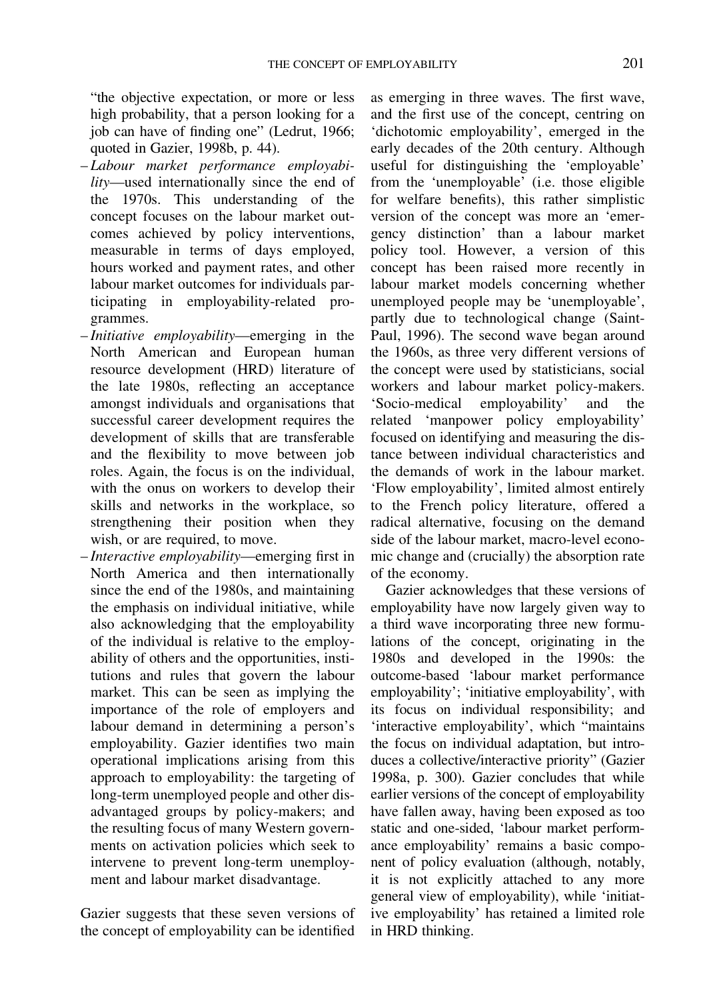"the objective expectation, or more or less high probability, that a person looking for a job can have of finding one" (Ledrut, 1966; quoted in Gazier, 1998b, p. 44).

- Labour market performance employability—used internationally since the end of the 1970s. This understanding of the concept focuses on the labour market outcomes achieved by policy interventions, measurable in terms of days employed, hours worked and payment rates, and other labour market outcomes for individuals participating in employability-related programmes.
- Initiative employability—emerging in the North American and European human resource development (HRD) literature of the late 1980s, reflecting an acceptance amongst individuals and organisations that successful career development requires the development of skills that are transferable and the flexibility to move between job roles. Again, the focus is on the individual, with the onus on workers to develop their skills and networks in the workplace, so strengthening their position when they wish, or are required, to move.
- Interactive employability—emerging first in North America and then internationally since the end of the 1980s, and maintaining the emphasis on individual initiative, while also acknowledging that the employability of the individual is relative to the employability of others and the opportunities, institutions and rules that govern the labour market. This can be seen as implying the importance of the role of employers and labour demand in determining a person's employability. Gazier identifies two main operational implications arising from this approach to employability: the targeting of long-term unemployed people and other disadvantaged groups by policy-makers; and the resulting focus of many Western governments on activation policies which seek to intervene to prevent long-term unemployment and labour market disadvantage.

Gazier suggests that these seven versions of the concept of employability can be identified

as emerging in three waves. The first wave, and the first use of the concept, centring on 'dichotomic employability', emerged in the early decades of the 20th century. Although useful for distinguishing the 'employable' from the 'unemployable' (i.e. those eligible for welfare benefits), this rather simplistic version of the concept was more an 'emergency distinction' than a labour market policy tool. However, a version of this concept has been raised more recently in labour market models concerning whether unemployed people may be 'unemployable', partly due to technological change (Saint-Paul, 1996). The second wave began around the 1960s, as three very different versions of the concept were used by statisticians, social workers and labour market policy-makers. 'Socio-medical employability' and the related 'manpower policy employability' focused on identifying and measuring the distance between individual characteristics and the demands of work in the labour market. 'Flow employability', limited almost entirely to the French policy literature, offered a radical alternative, focusing on the demand side of the labour market, macro-level economic change and (crucially) the absorption rate of the economy.

Gazier acknowledges that these versions of employability have now largely given way to a third wave incorporating three new formulations of the concept, originating in the 1980s and developed in the 1990s: the outcome-based 'labour market performance employability'; 'initiative employability', with its focus on individual responsibility; and 'interactive employability', which "maintains the focus on individual adaptation, but introduces a collective/interactive priority" (Gazier 1998a, p. 300). Gazier concludes that while earlier versions of the concept of employability have fallen away, having been exposed as too static and one-sided, 'labour market performance employability' remains a basic component of policy evaluation (although, notably, it is not explicitly attached to any more general view of employability), while 'initiative employability' has retained a limited role in HRD thinking.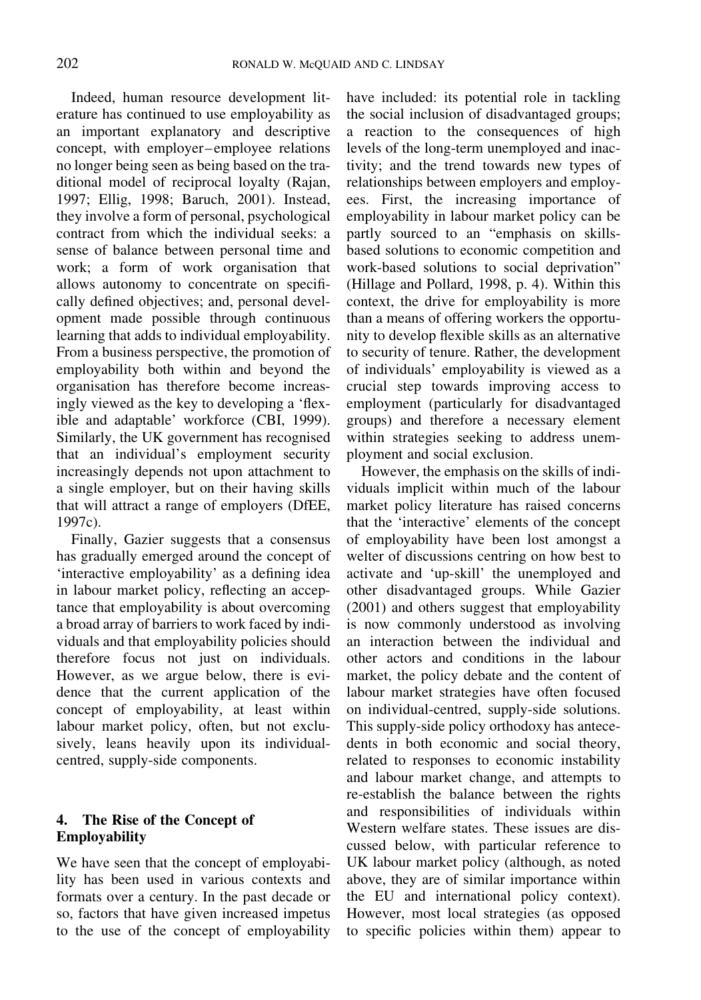Indeed, human resource development literature has continued to use employability as an important explanatory and descriptive concept, with employer–employee relations no longer being seen as being based on the traditional model of reciprocal loyalty (Rajan, 1997; Ellig, 1998; Baruch, 2001). Instead, they involve a form of personal, psychological contract from which the individual seeks: a sense of balance between personal time and work; a form of work organisation that allows autonomy to concentrate on specifically defined objectives; and, personal development made possible through continuous learning that adds to individual employability. From a business perspective, the promotion of employability both within and beyond the organisation has therefore become increasingly viewed as the key to developing a 'flexible and adaptable' workforce (CBI, 1999). Similarly, the UK government has recognised that an individual's employment security increasingly depends not upon attachment to a single employer, but on their having skills that will attract a range of employers (DfEE, 1997c).

Finally, Gazier suggests that a consensus has gradually emerged around the concept of 'interactive employability' as a defining idea in labour market policy, reflecting an acceptance that employability is about overcoming a broad array of barriers to work faced by individuals and that employability policies should therefore focus not just on individuals. However, as we argue below, there is evidence that the current application of the concept of employability, at least within labour market policy, often, but not exclusively, leans heavily upon its individualcentred, supply-side components.

## 4. The Rise of the Concept of Employability

We have seen that the concept of employability has been used in various contexts and formats over a century. In the past decade or so, factors that have given increased impetus to the use of the concept of employability have included: its potential role in tackling the social inclusion of disadvantaged groups; a reaction to the consequences of high levels of the long-term unemployed and inactivity; and the trend towards new types of relationships between employers and employees. First, the increasing importance of employability in labour market policy can be partly sourced to an "emphasis on skillsbased solutions to economic competition and work-based solutions to social deprivation" (Hillage and Pollard, 1998, p. 4). Within this context, the drive for employability is more than a means of offering workers the opportunity to develop flexible skills as an alternative to security of tenure. Rather, the development of individuals' employability is viewed as a crucial step towards improving access to employment (particularly for disadvantaged groups) and therefore a necessary element within strategies seeking to address unemployment and social exclusion.

However, the emphasis on the skills of individuals implicit within much of the labour market policy literature has raised concerns that the 'interactive' elements of the concept of employability have been lost amongst a welter of discussions centring on how best to activate and 'up-skill' the unemployed and other disadvantaged groups. While Gazier (2001) and others suggest that employability is now commonly understood as involving an interaction between the individual and other actors and conditions in the labour market, the policy debate and the content of labour market strategies have often focused on individual-centred, supply-side solutions. This supply-side policy orthodoxy has antecedents in both economic and social theory, related to responses to economic instability and labour market change, and attempts to re-establish the balance between the rights and responsibilities of individuals within Western welfare states. These issues are discussed below, with particular reference to UK labour market policy (although, as noted above, they are of similar importance within the EU and international policy context). However, most local strategies (as opposed to specific policies within them) appear to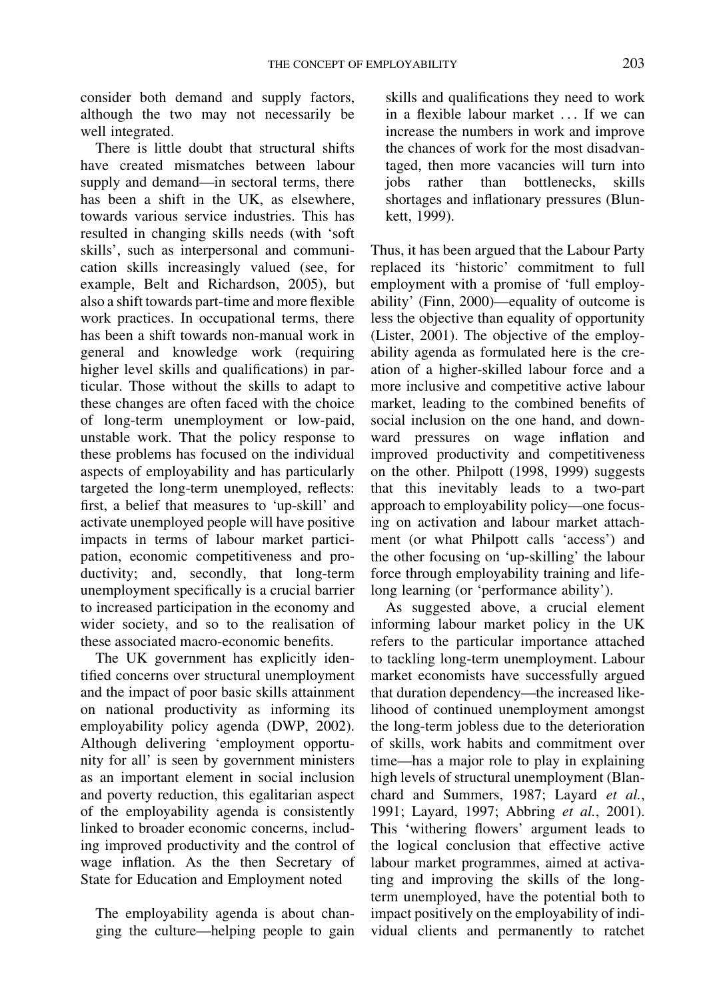consider both demand and supply factors, although the two may not necessarily be well integrated.

There is little doubt that structural shifts have created mismatches between labour supply and demand—in sectoral terms, there has been a shift in the UK, as elsewhere, towards various service industries. This has resulted in changing skills needs (with 'soft skills', such as interpersonal and communication skills increasingly valued (see, for example, Belt and Richardson, 2005), but also a shift towards part-time and more flexible work practices. In occupational terms, there has been a shift towards non-manual work in general and knowledge work (requiring higher level skills and qualifications) in particular. Those without the skills to adapt to these changes are often faced with the choice of long-term unemployment or low-paid, unstable work. That the policy response to these problems has focused on the individual aspects of employability and has particularly targeted the long-term unemployed, reflects: first, a belief that measures to 'up-skill' and activate unemployed people will have positive impacts in terms of labour market participation, economic competitiveness and productivity; and, secondly, that long-term unemployment specifically is a crucial barrier to increased participation in the economy and wider society, and so to the realisation of these associated macro-economic benefits.

The UK government has explicitly identified concerns over structural unemployment and the impact of poor basic skills attainment on national productivity as informing its employability policy agenda (DWP, 2002). Although delivering 'employment opportunity for all' is seen by government ministers as an important element in social inclusion and poverty reduction, this egalitarian aspect of the employability agenda is consistently linked to broader economic concerns, including improved productivity and the control of wage inflation. As the then Secretary of State for Education and Employment noted

The employability agenda is about changing the culture—helping people to gain

skills and qualifications they need to work in a flexible labour market ... If we can increase the numbers in work and improve the chances of work for the most disadvantaged, then more vacancies will turn into jobs rather than bottlenecks, skills shortages and inflationary pressures (Blunkett, 1999).

Thus, it has been argued that the Labour Party replaced its 'historic' commitment to full employment with a promise of 'full employability' (Finn, 2000)—equality of outcome is less the objective than equality of opportunity (Lister, 2001). The objective of the employability agenda as formulated here is the creation of a higher-skilled labour force and a more inclusive and competitive active labour market, leading to the combined benefits of social inclusion on the one hand, and downward pressures on wage inflation and improved productivity and competitiveness on the other. Philpott (1998, 1999) suggests that this inevitably leads to a two-part approach to employability policy—one focusing on activation and labour market attachment (or what Philpott calls 'access') and the other focusing on 'up-skilling' the labour force through employability training and lifelong learning (or 'performance ability').

As suggested above, a crucial element informing labour market policy in the UK refers to the particular importance attached to tackling long-term unemployment. Labour market economists have successfully argued that duration dependency—the increased likelihood of continued unemployment amongst the long-term jobless due to the deterioration of skills, work habits and commitment over time—has a major role to play in explaining high levels of structural unemployment (Blanchard and Summers, 1987; Layard et al., 1991; Layard, 1997; Abbring et al., 2001). This 'withering flowers' argument leads to the logical conclusion that effective active labour market programmes, aimed at activating and improving the skills of the longterm unemployed, have the potential both to impact positively on the employability of individual clients and permanently to ratchet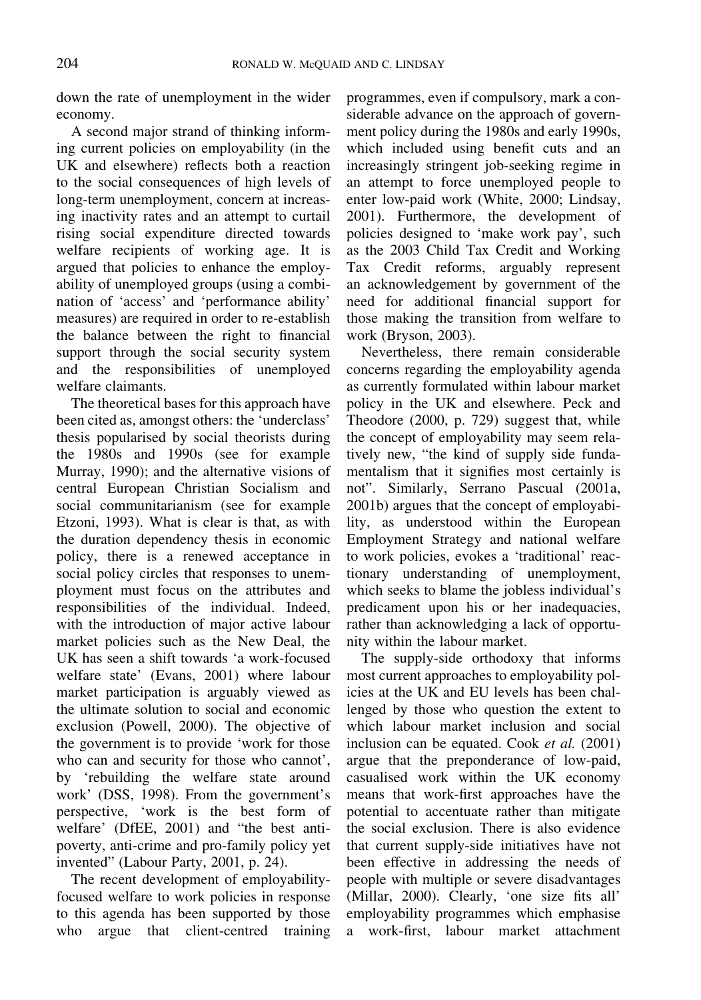down the rate of unemployment in the wider economy.

A second major strand of thinking informing current policies on employability (in the UK and elsewhere) reflects both a reaction to the social consequences of high levels of long-term unemployment, concern at increasing inactivity rates and an attempt to curtail rising social expenditure directed towards welfare recipients of working age. It is argued that policies to enhance the employability of unemployed groups (using a combination of 'access' and 'performance ability' measures) are required in order to re-establish the balance between the right to financial support through the social security system and the responsibilities of unemployed welfare claimants.

The theoretical bases for this approach have been cited as, amongst others: the 'underclass' thesis popularised by social theorists during the 1980s and 1990s (see for example Murray, 1990); and the alternative visions of central European Christian Socialism and social communitarianism (see for example Etzoni, 1993). What is clear is that, as with the duration dependency thesis in economic policy, there is a renewed acceptance in social policy circles that responses to unemployment must focus on the attributes and responsibilities of the individual. Indeed, with the introduction of major active labour market policies such as the New Deal, the UK has seen a shift towards 'a work-focused welfare state' (Evans, 2001) where labour market participation is arguably viewed as the ultimate solution to social and economic exclusion (Powell, 2000). The objective of the government is to provide 'work for those who can and security for those who cannot', by 'rebuilding the welfare state around work' (DSS, 1998). From the government's perspective, 'work is the best form of welfare' (DfEE, 2001) and "the best antipoverty, anti-crime and pro-family policy yet invented" (Labour Party, 2001, p. 24).

The recent development of employabilityfocused welfare to work policies in response to this agenda has been supported by those who argue that client-centred training programmes, even if compulsory, mark a considerable advance on the approach of government policy during the 1980s and early 1990s, which included using benefit cuts and an increasingly stringent job-seeking regime in an attempt to force unemployed people to enter low-paid work (White, 2000; Lindsay, 2001). Furthermore, the development of policies designed to 'make work pay', such as the 2003 Child Tax Credit and Working Tax Credit reforms, arguably represent an acknowledgement by government of the need for additional financial support for those making the transition from welfare to work (Bryson, 2003).

Nevertheless, there remain considerable concerns regarding the employability agenda as currently formulated within labour market policy in the UK and elsewhere. Peck and Theodore (2000, p. 729) suggest that, while the concept of employability may seem relatively new, "the kind of supply side fundamentalism that it signifies most certainly is not". Similarly, Serrano Pascual (2001a, 2001b) argues that the concept of employability, as understood within the European Employment Strategy and national welfare to work policies, evokes a 'traditional' reactionary understanding of unemployment, which seeks to blame the jobless individual's predicament upon his or her inadequacies, rather than acknowledging a lack of opportunity within the labour market.

The supply-side orthodoxy that informs most current approaches to employability policies at the UK and EU levels has been challenged by those who question the extent to which labour market inclusion and social inclusion can be equated. Cook et al. (2001) argue that the preponderance of low-paid, casualised work within the UK economy means that work-first approaches have the potential to accentuate rather than mitigate the social exclusion. There is also evidence that current supply-side initiatives have not been effective in addressing the needs of people with multiple or severe disadvantages (Millar, 2000). Clearly, 'one size fits all' employability programmes which emphasise a work-first, labour market attachment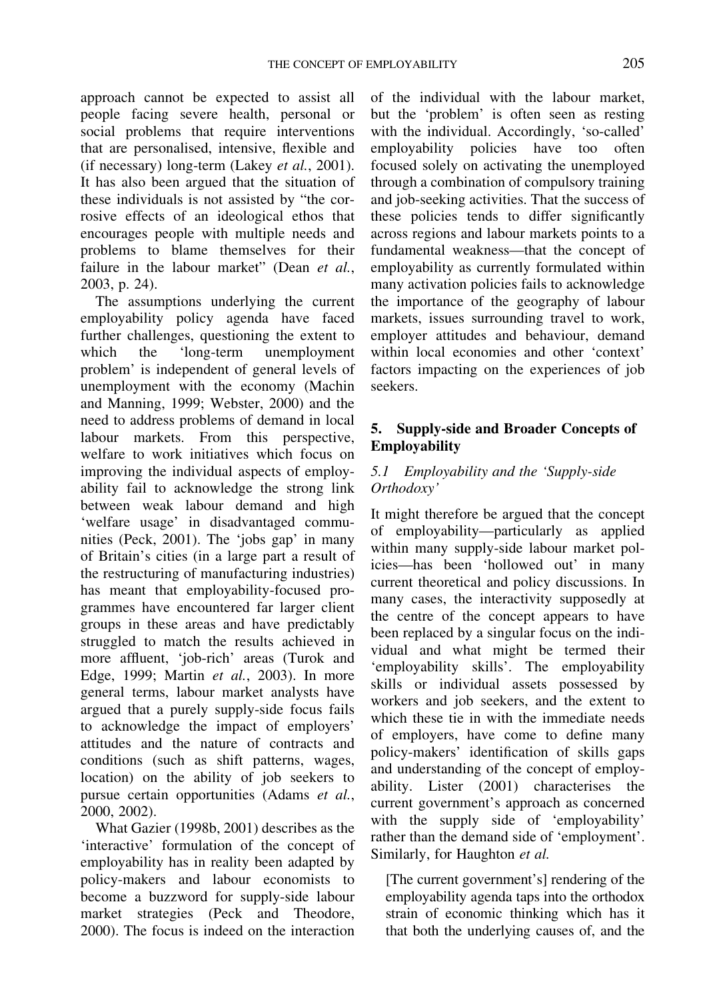approach cannot be expected to assist all people facing severe health, personal or social problems that require interventions that are personalised, intensive, flexible and (if necessary) long-term (Lakey et al., 2001). It has also been argued that the situation of these individuals is not assisted by "the corrosive effects of an ideological ethos that encourages people with multiple needs and problems to blame themselves for their failure in the labour market" (Dean et al., 2003, p. 24).

The assumptions underlying the current employability policy agenda have faced further challenges, questioning the extent to which the 'long-term unemployment problem' is independent of general levels of unemployment with the economy (Machin and Manning, 1999; Webster, 2000) and the need to address problems of demand in local labour markets. From this perspective, welfare to work initiatives which focus on improving the individual aspects of employability fail to acknowledge the strong link between weak labour demand and high 'welfare usage' in disadvantaged communities (Peck, 2001). The 'jobs gap' in many of Britain's cities (in a large part a result of the restructuring of manufacturing industries) has meant that employability-focused programmes have encountered far larger client groups in these areas and have predictably struggled to match the results achieved in more affluent, 'job-rich' areas (Turok and Edge, 1999; Martin et al., 2003). In more general terms, labour market analysts have argued that a purely supply-side focus fails to acknowledge the impact of employers' attitudes and the nature of contracts and conditions (such as shift patterns, wages, location) on the ability of job seekers to pursue certain opportunities (Adams et al., 2000, 2002).

What Gazier (1998b, 2001) describes as the 'interactive' formulation of the concept of employability has in reality been adapted by policy-makers and labour economists to become a buzzword for supply-side labour market strategies (Peck and Theodore, 2000). The focus is indeed on the interaction

of the individual with the labour market, but the 'problem' is often seen as resting with the individual. Accordingly, 'so-called' employability policies have too often focused solely on activating the unemployed through a combination of compulsory training and job-seeking activities. That the success of these policies tends to differ significantly across regions and labour markets points to a fundamental weakness—that the concept of employability as currently formulated within many activation policies fails to acknowledge the importance of the geography of labour markets, issues surrounding travel to work, employer attitudes and behaviour, demand within local economies and other 'context' factors impacting on the experiences of job seekers.

# 5. Supply-side and Broader Concepts of Employability

# 5.1 Employability and the 'Supply-side Orthodoxy'

It might therefore be argued that the concept of employability—particularly as applied within many supply-side labour market policies—has been 'hollowed out' in many current theoretical and policy discussions. In many cases, the interactivity supposedly at the centre of the concept appears to have been replaced by a singular focus on the individual and what might be termed their 'employability skills'. The employability skills or individual assets possessed by workers and job seekers, and the extent to which these tie in with the immediate needs of employers, have come to define many policy-makers' identification of skills gaps and understanding of the concept of employability. Lister (2001) characterises the current government's approach as concerned with the supply side of 'employability' rather than the demand side of 'employment'. Similarly, for Haughton et al.

[The current government's] rendering of the employability agenda taps into the orthodox strain of economic thinking which has it that both the underlying causes of, and the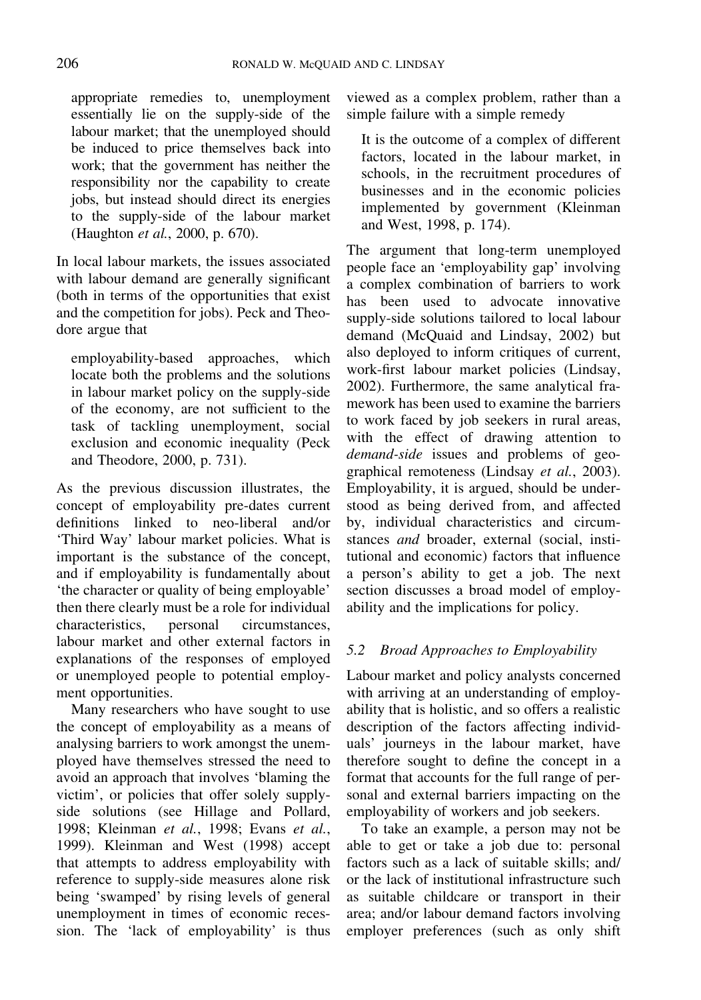appropriate remedies to, unemployment essentially lie on the supply-side of the labour market; that the unemployed should be induced to price themselves back into work; that the government has neither the responsibility nor the capability to create jobs, but instead should direct its energies to the supply-side of the labour market (Haughton et al., 2000, p. 670).

In local labour markets, the issues associated with labour demand are generally significant (both in terms of the opportunities that exist and the competition for jobs). Peck and Theodore argue that

employability-based approaches, which locate both the problems and the solutions in labour market policy on the supply-side of the economy, are not sufficient to the task of tackling unemployment, social exclusion and economic inequality (Peck and Theodore, 2000, p. 731).

As the previous discussion illustrates, the concept of employability pre-dates current definitions linked to neo-liberal and/or 'Third Way' labour market policies. What is important is the substance of the concept, and if employability is fundamentally about 'the character or quality of being employable' then there clearly must be a role for individual characteristics, personal circumstances, labour market and other external factors in explanations of the responses of employed or unemployed people to potential employment opportunities.

Many researchers who have sought to use the concept of employability as a means of analysing barriers to work amongst the unemployed have themselves stressed the need to avoid an approach that involves 'blaming the victim', or policies that offer solely supplyside solutions (see Hillage and Pollard, 1998; Kleinman et al., 1998; Evans et al., 1999). Kleinman and West (1998) accept that attempts to address employability with reference to supply-side measures alone risk being 'swamped' by rising levels of general unemployment in times of economic recession. The 'lack of employability' is thus viewed as a complex problem, rather than a simple failure with a simple remedy

It is the outcome of a complex of different factors, located in the labour market, in schools, in the recruitment procedures of businesses and in the economic policies implemented by government (Kleinman and West, 1998, p. 174).

The argument that long-term unemployed people face an 'employability gap' involving a complex combination of barriers to work has been used to advocate innovative supply-side solutions tailored to local labour demand (McQuaid and Lindsay, 2002) but also deployed to inform critiques of current, work-first labour market policies (Lindsay, 2002). Furthermore, the same analytical framework has been used to examine the barriers to work faced by job seekers in rural areas, with the effect of drawing attention to demand-side issues and problems of geographical remoteness (Lindsay et al., 2003). Employability, it is argued, should be understood as being derived from, and affected by, individual characteristics and circumstances and broader, external (social, institutional and economic) factors that influence a person's ability to get a job. The next section discusses a broad model of employability and the implications for policy.

# 5.2 Broad Approaches to Employability

Labour market and policy analysts concerned with arriving at an understanding of employability that is holistic, and so offers a realistic description of the factors affecting individuals' journeys in the labour market, have therefore sought to define the concept in a format that accounts for the full range of personal and external barriers impacting on the employability of workers and job seekers.

To take an example, a person may not be able to get or take a job due to: personal factors such as a lack of suitable skills; and/ or the lack of institutional infrastructure such as suitable childcare or transport in their area; and/or labour demand factors involving employer preferences (such as only shift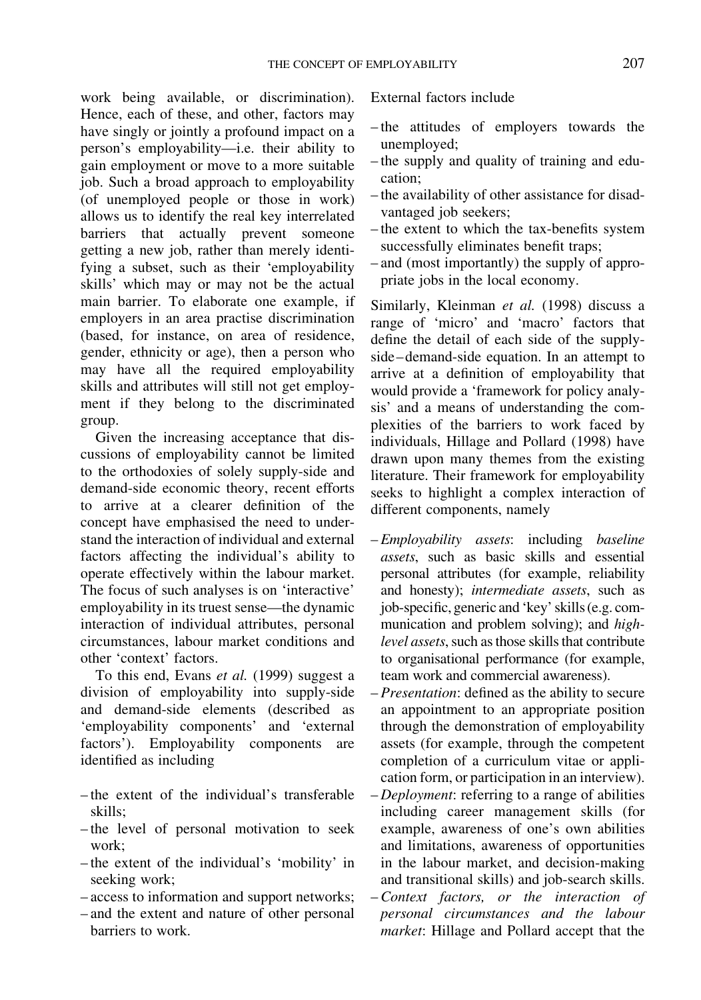work being available, or discrimination). Hence, each of these, and other, factors may have singly or jointly a profound impact on a person's employability—i.e. their ability to gain employment or move to a more suitable job. Such a broad approach to employability (of unemployed people or those in work) allows us to identify the real key interrelated barriers that actually prevent someone getting a new job, rather than merely identifying a subset, such as their 'employability skills' which may or may not be the actual main barrier. To elaborate one example, if employers in an area practise discrimination (based, for instance, on area of residence, gender, ethnicity or age), then a person who may have all the required employability skills and attributes will still not get employment if they belong to the discriminated group.

Given the increasing acceptance that discussions of employability cannot be limited to the orthodoxies of solely supply-side and demand-side economic theory, recent efforts to arrive at a clearer definition of the concept have emphasised the need to understand the interaction of individual and external factors affecting the individual's ability to operate effectively within the labour market. The focus of such analyses is on 'interactive' employability in its truest sense—the dynamic interaction of individual attributes, personal circumstances, labour market conditions and other 'context' factors.

To this end, Evans et al. (1999) suggest a division of employability into supply-side and demand-side elements (described as 'employability components' and 'external factors'). Employability components are identified as including

- the extent of the individual's transferable skills;
- the level of personal motivation to seek work;
- the extent of the individual's 'mobility' in seeking work;
- access to information and support networks;
- and the extent and nature of other personal barriers to work.

External factors include

- the attitudes of employers towards the unemployed;
- the supply and quality of training and education;
- the availability of other assistance for disadvantaged job seekers;
- the extent to which the tax-benefits system successfully eliminates benefit traps;
- and (most importantly) the supply of appropriate jobs in the local economy.

Similarly, Kleinman et al. (1998) discuss a range of 'micro' and 'macro' factors that define the detail of each side of the supplyside–demand-side equation. In an attempt to arrive at a definition of employability that would provide a 'framework for policy analysis' and a means of understanding the complexities of the barriers to work faced by individuals, Hillage and Pollard (1998) have drawn upon many themes from the existing literature. Their framework for employability seeks to highlight a complex interaction of different components, namely

- Employability assets: including baseline assets, such as basic skills and essential personal attributes (for example, reliability and honesty); intermediate assets, such as job-specific, generic and 'key' skills (e.g. communication and problem solving); and *high*level assets, such as those skills that contribute to organisational performance (for example, team work and commercial awareness).
- Presentation: defined as the ability to secure an appointment to an appropriate position through the demonstration of employability assets (for example, through the competent completion of a curriculum vitae or application form, or participation in an interview).
- Deployment: referring to a range of abilities including career management skills (for example, awareness of one's own abilities and limitations, awareness of opportunities in the labour market, and decision-making and transitional skills) and job-search skills.
- Context factors, or the interaction of personal circumstances and the labour market: Hillage and Pollard accept that the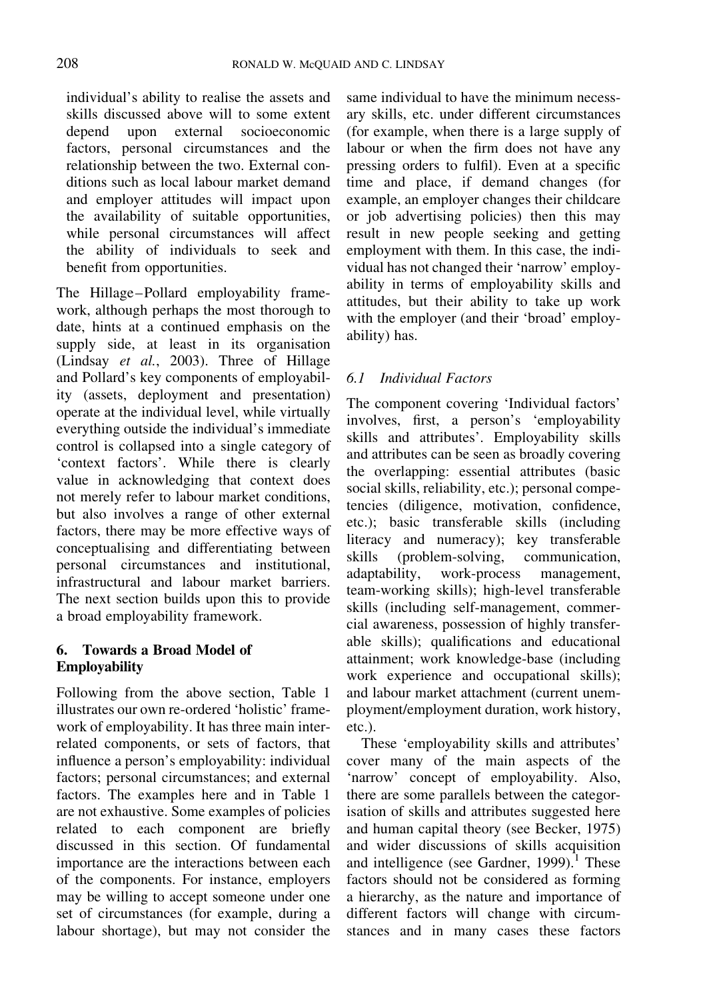individual's ability to realise the assets and skills discussed above will to some extent depend upon external socioeconomic factors, personal circumstances and the relationship between the two. External conditions such as local labour market demand and employer attitudes will impact upon the availability of suitable opportunities, while personal circumstances will affect the ability of individuals to seek and benefit from opportunities.

The Hillage–Pollard employability framework, although perhaps the most thorough to date, hints at a continued emphasis on the supply side, at least in its organisation (Lindsay et al., 2003). Three of Hillage and Pollard's key components of employability (assets, deployment and presentation) operate at the individual level, while virtually everything outside the individual's immediate control is collapsed into a single category of 'context factors'. While there is clearly value in acknowledging that context does not merely refer to labour market conditions, but also involves a range of other external factors, there may be more effective ways of conceptualising and differentiating between personal circumstances and institutional, infrastructural and labour market barriers. The next section builds upon this to provide a broad employability framework.

# 6. Towards a Broad Model of Employability

Following from the above section, Table 1 illustrates our own re-ordered 'holistic' framework of employability. It has three main interrelated components, or sets of factors, that influence a person's employability: individual factors; personal circumstances; and external factors. The examples here and in Table 1 are not exhaustive. Some examples of policies related to each component are briefly discussed in this section. Of fundamental importance are the interactions between each of the components. For instance, employers may be willing to accept someone under one set of circumstances (for example, during a labour shortage), but may not consider the same individual to have the minimum necessary skills, etc. under different circumstances (for example, when there is a large supply of labour or when the firm does not have any pressing orders to fulfil). Even at a specific time and place, if demand changes (for example, an employer changes their childcare or job advertising policies) then this may result in new people seeking and getting employment with them. In this case, the individual has not changed their 'narrow' employability in terms of employability skills and attitudes, but their ability to take up work with the employer (and their 'broad' employability) has.

# 6.1 Individual Factors

The component covering 'Individual factors' involves, first, a person's 'employability skills and attributes'. Employability skills and attributes can be seen as broadly covering the overlapping: essential attributes (basic social skills, reliability, etc.); personal competencies (diligence, motivation, confidence, etc.); basic transferable skills (including literacy and numeracy); key transferable skills (problem-solving, communication, adaptability, work-process management, team-working skills); high-level transferable skills (including self-management, commercial awareness, possession of highly transferable skills); qualifications and educational attainment; work knowledge-base (including work experience and occupational skills); and labour market attachment (current unemployment/employment duration, work history, etc.).

These 'employability skills and attributes' cover many of the main aspects of the 'narrow' concept of employability. Also, there are some parallels between the categorisation of skills and attributes suggested here and human capital theory (see Becker, 1975) and wider discussions of skills acquisition and intelligence (see Gardner, 1999). $<sup>1</sup>$  These</sup> factors should not be considered as forming a hierarchy, as the nature and importance of different factors will change with circumstances and in many cases these factors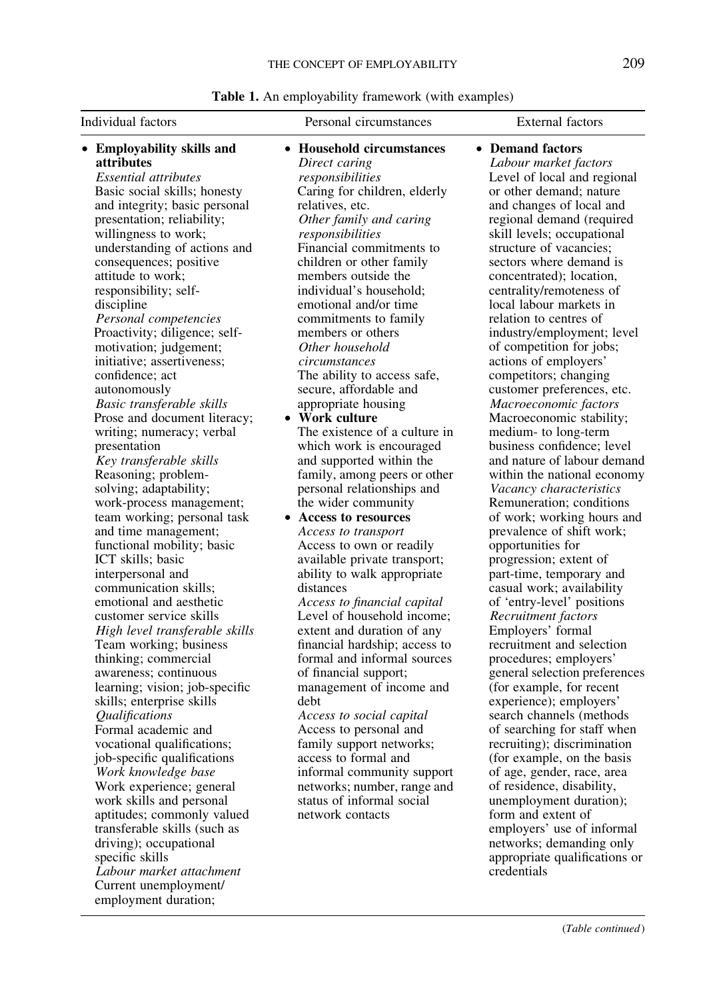| <b>Table 1.</b> An employability framework (with examples)                                                                                                                                                                                                                                                                                                                                                                                                                                                                                                                                                                                                                                                                                                                                                                                                                                                                                                                                                                                                                                                                                                                                                                                                                                                                                                                                                                                                                |                                                                                                                                                                                                                                                                                                                                                                                                                                                                                                                                                                                                                                                                                                                                                                                                                                                                                                                                                                                                                                                                                                                                                                                                                                                                               |                                                                                                                                                                                                                                                                                                                                                                                                                                                                                                                                                                                                                                                                                                                                                                                                                                                                                                                                                                                                                                                                                                                                                                                                                                                                                                                                                                                                                                                                                   |  |
|---------------------------------------------------------------------------------------------------------------------------------------------------------------------------------------------------------------------------------------------------------------------------------------------------------------------------------------------------------------------------------------------------------------------------------------------------------------------------------------------------------------------------------------------------------------------------------------------------------------------------------------------------------------------------------------------------------------------------------------------------------------------------------------------------------------------------------------------------------------------------------------------------------------------------------------------------------------------------------------------------------------------------------------------------------------------------------------------------------------------------------------------------------------------------------------------------------------------------------------------------------------------------------------------------------------------------------------------------------------------------------------------------------------------------------------------------------------------------|-------------------------------------------------------------------------------------------------------------------------------------------------------------------------------------------------------------------------------------------------------------------------------------------------------------------------------------------------------------------------------------------------------------------------------------------------------------------------------------------------------------------------------------------------------------------------------------------------------------------------------------------------------------------------------------------------------------------------------------------------------------------------------------------------------------------------------------------------------------------------------------------------------------------------------------------------------------------------------------------------------------------------------------------------------------------------------------------------------------------------------------------------------------------------------------------------------------------------------------------------------------------------------|-----------------------------------------------------------------------------------------------------------------------------------------------------------------------------------------------------------------------------------------------------------------------------------------------------------------------------------------------------------------------------------------------------------------------------------------------------------------------------------------------------------------------------------------------------------------------------------------------------------------------------------------------------------------------------------------------------------------------------------------------------------------------------------------------------------------------------------------------------------------------------------------------------------------------------------------------------------------------------------------------------------------------------------------------------------------------------------------------------------------------------------------------------------------------------------------------------------------------------------------------------------------------------------------------------------------------------------------------------------------------------------------------------------------------------------------------------------------------------------|--|
| Individual factors                                                                                                                                                                                                                                                                                                                                                                                                                                                                                                                                                                                                                                                                                                                                                                                                                                                                                                                                                                                                                                                                                                                                                                                                                                                                                                                                                                                                                                                        | Personal circumstances                                                                                                                                                                                                                                                                                                                                                                                                                                                                                                                                                                                                                                                                                                                                                                                                                                                                                                                                                                                                                                                                                                                                                                                                                                                        | <b>External factors</b>                                                                                                                                                                                                                                                                                                                                                                                                                                                                                                                                                                                                                                                                                                                                                                                                                                                                                                                                                                                                                                                                                                                                                                                                                                                                                                                                                                                                                                                           |  |
| • Employability skills and<br>attributes<br><i>Essential attributes</i><br>Basic social skills; honesty<br>and integrity; basic personal<br>presentation; reliability;<br>willingness to work;<br>understanding of actions and<br>consequences; positive<br>attitude to work;<br>responsibility; self-<br>discipline<br>Personal competencies<br>Proactivity; diligence; self-<br>motivation; judgement;<br>initiative; assertiveness;<br>confidence; act<br>autonomously<br>Basic transferable skills<br>Prose and document literacy;<br>writing; numeracy; verbal<br>presentation<br>Key transferable skills<br>Reasoning; problem-<br>solving; adaptability;<br>work-process management;<br>team working; personal task<br>and time management;<br>functional mobility; basic<br>ICT skills; basic<br>interpersonal and<br>communication skills;<br>emotional and aesthetic<br>customer service skills<br>High level transferable skills<br>Team working; business<br>thinking; commercial<br>awareness; continuous<br>learning; vision; job-specific<br>skills; enterprise skills<br><i>Qualifications</i><br>Formal academic and<br>vocational qualifications;<br>job-specific qualifications<br>Work knowledge base<br>Work experience; general<br>work skills and personal<br>aptitudes; commonly valued<br>transferable skills (such as<br>driving); occupational<br>specific skills<br>Labour market attachment<br>Current unemployment/<br>employment duration; | • Household circumstances<br>Direct caring<br>responsibilities<br>Caring for children, elderly<br>relatives, etc.<br>Other family and caring<br>responsibilities<br>Financial commitments to<br>children or other family<br>members outside the<br>individual's household:<br>emotional and/or time<br>commitments to family<br>members or others<br>Other household<br>circumstances<br>The ability to access safe,<br>secure, affordable and<br>appropriate housing<br>• Work culture<br>The existence of a culture in<br>which work is encouraged<br>and supported within the<br>family, among peers or other<br>personal relationships and<br>the wider community<br>• Access to resources<br>Access to transport<br>Access to own or readily<br>available private transport;<br>ability to walk appropriate<br>distances<br>Access to financial capital<br>Level of household income;<br>extent and duration of any<br>financial hardship; access to<br>formal and informal sources<br>of financial support;<br>management of income and<br>debt<br>Access to social capital<br>Access to personal and<br>family support networks;<br>access to formal and<br>informal community support<br>networks; number, range and<br>status of informal social<br>network contacts | • Demand factors<br>Labour market factors<br>Level of local and regional<br>or other demand; nature<br>and changes of local and<br>regional demand (required<br>skill levels; occupational<br>structure of vacancies;<br>sectors where demand is<br>concentrated); location,<br>centrality/remoteness of<br>local labour markets in<br>relation to centres of<br>industry/employment; level<br>of competition for jobs;<br>actions of employers'<br>competitors; changing<br>customer preferences, etc.<br>Macroeconomic factors<br>Macroeconomic stability;<br>medium- to long-term<br>business confidence; level<br>and nature of labour demand<br>within the national economy<br>Vacancy characteristics<br>Remuneration; conditions<br>of work; working hours and<br>prevalence of shift work;<br>opportunities for<br>progression; extent of<br>part-time, temporary and<br>casual work; availability<br>of 'entry-level' positions<br>Recruitment factors<br>Employers' formal<br>recruitment and selection<br>procedures; employers'<br>general selection preferences<br>(for example, for recent<br>experience); employers'<br>search channels (methods<br>of searching for staff when<br>recruiting); discrimination<br>(for example, on the basis<br>of age, gender, race, area<br>of residence, disability,<br>unemployment duration);<br>form and extent of<br>employers' use of informal<br>networks; demanding only<br>appropriate qualifications or<br>credentials |  |

Table 1. An employability framework (with examples)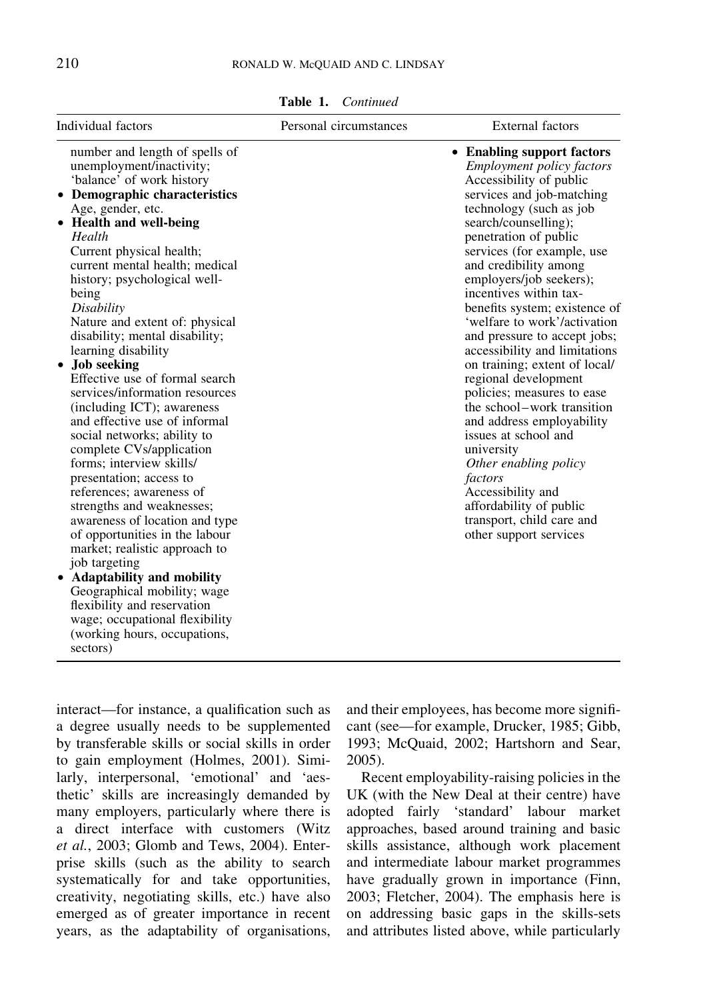Table 1. Continued

| Individual factors                                                                                                                                                                                                                                                                                                                                                                                                                                                                                                                                                                                                                                                                                                                                                                                                                                                                                                                                                                                                                 | Personal circumstances | <b>External factors</b>                                                                                                                                                                                                                                                                                                                                                                                                                                                                                                                                                                                                                                                                                                                                                             |
|------------------------------------------------------------------------------------------------------------------------------------------------------------------------------------------------------------------------------------------------------------------------------------------------------------------------------------------------------------------------------------------------------------------------------------------------------------------------------------------------------------------------------------------------------------------------------------------------------------------------------------------------------------------------------------------------------------------------------------------------------------------------------------------------------------------------------------------------------------------------------------------------------------------------------------------------------------------------------------------------------------------------------------|------------------------|-------------------------------------------------------------------------------------------------------------------------------------------------------------------------------------------------------------------------------------------------------------------------------------------------------------------------------------------------------------------------------------------------------------------------------------------------------------------------------------------------------------------------------------------------------------------------------------------------------------------------------------------------------------------------------------------------------------------------------------------------------------------------------------|
| number and length of spells of<br>unemployment/inactivity;<br>'balance' of work history<br>• Demographic characteristics<br>Age, gender, etc.<br>• Health and well-being<br>Health<br>Current physical health;<br>current mental health; medical<br>history; psychological well-<br>being<br>Disability<br>Nature and extent of: physical<br>disability; mental disability;<br>learning disability<br>• Job seeking<br>Effective use of formal search<br>services/information resources<br>(including ICT); awareness<br>and effective use of informal<br>social networks; ability to<br>complete CVs/application<br>forms; interview skills/<br>presentation; access to<br>references; awareness of<br>strengths and weaknesses;<br>awareness of location and type<br>of opportunities in the labour<br>market; realistic approach to<br>job targeting<br>• Adaptability and mobility<br>Geographical mobility; wage<br>flexibility and reservation<br>wage; occupational flexibility<br>(working hours, occupations,<br>sectors) |                        | • Enabling support factors<br><b>Employment policy factors</b><br>Accessibility of public<br>services and job-matching<br>technology (such as job<br>search/counselling);<br>penetration of public<br>services (for example, use<br>and credibility among<br>employers/job seekers);<br>incentives within tax-<br>benefits system; existence of<br>'welfare to work'/activation<br>and pressure to accept jobs;<br>accessibility and limitations<br>on training; extent of local/<br>regional development<br>policies; measures to ease<br>the school–work transition<br>and address employability<br>issues at school and<br>university<br>Other enabling policy<br>factors<br>Accessibility and<br>affordability of public<br>transport, child care and<br>other support services |

interact—for instance, a qualification such as a degree usually needs to be supplemented by transferable skills or social skills in order to gain employment (Holmes, 2001). Similarly, interpersonal, 'emotional' and 'aesthetic' skills are increasingly demanded by many employers, particularly where there is a direct interface with customers (Witz et al., 2003; Glomb and Tews, 2004). Enterprise skills (such as the ability to search systematically for and take opportunities, creativity, negotiating skills, etc.) have also emerged as of greater importance in recent years, as the adaptability of organisations, and their employees, has become more significant (see—for example, Drucker, 1985; Gibb, 1993; McQuaid, 2002; Hartshorn and Sear, 2005).

Recent employability-raising policies in the UK (with the New Deal at their centre) have adopted fairly 'standard' labour market approaches, based around training and basic skills assistance, although work placement and intermediate labour market programmes have gradually grown in importance (Finn, 2003; Fletcher, 2004). The emphasis here is on addressing basic gaps in the skills-sets and attributes listed above, while particularly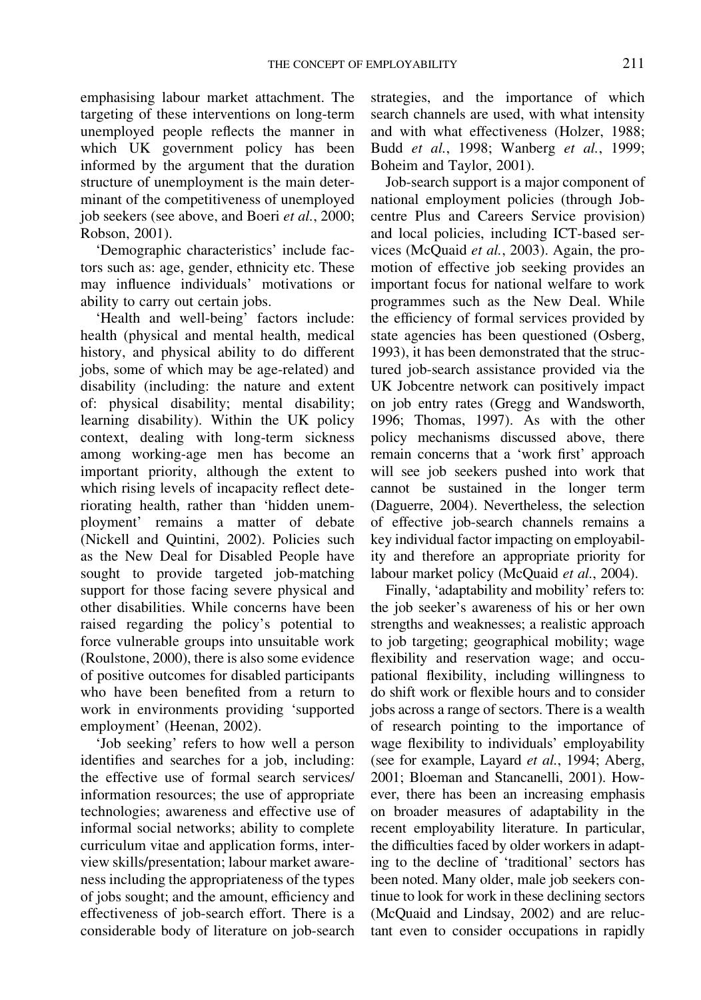emphasising labour market attachment. The targeting of these interventions on long-term unemployed people reflects the manner in which UK government policy has been informed by the argument that the duration structure of unemployment is the main determinant of the competitiveness of unemployed job seekers (see above, and Boeri et al., 2000; Robson, 2001).

'Demographic characteristics' include factors such as: age, gender, ethnicity etc. These may influence individuals' motivations or ability to carry out certain jobs.

'Health and well-being' factors include: health (physical and mental health, medical history, and physical ability to do different jobs, some of which may be age-related) and disability (including: the nature and extent of: physical disability; mental disability; learning disability). Within the UK policy context, dealing with long-term sickness among working-age men has become an important priority, although the extent to which rising levels of incapacity reflect deteriorating health, rather than 'hidden unemployment' remains a matter of debate (Nickell and Quintini, 2002). Policies such as the New Deal for Disabled People have sought to provide targeted job-matching support for those facing severe physical and other disabilities. While concerns have been raised regarding the policy's potential to force vulnerable groups into unsuitable work (Roulstone, 2000), there is also some evidence of positive outcomes for disabled participants who have been benefited from a return to work in environments providing 'supported employment' (Heenan, 2002).

'Job seeking' refers to how well a person identifies and searches for a job, including: the effective use of formal search services/ information resources; the use of appropriate technologies; awareness and effective use of informal social networks; ability to complete curriculum vitae and application forms, interview skills/presentation; labour market awareness including the appropriateness of the types of jobs sought; and the amount, efficiency and effectiveness of job-search effort. There is a considerable body of literature on job-search

strategies, and the importance of which search channels are used, with what intensity and with what effectiveness (Holzer, 1988; Budd *et al.*, 1998; Wanberg *et al.*, 1999; Boheim and Taylor, 2001).

Job-search support is a major component of national employment policies (through Jobcentre Plus and Careers Service provision) and local policies, including ICT-based services (McQuaid *et al.*, 2003). Again, the promotion of effective job seeking provides an important focus for national welfare to work programmes such as the New Deal. While the efficiency of formal services provided by state agencies has been questioned (Osberg, 1993), it has been demonstrated that the structured job-search assistance provided via the UK Jobcentre network can positively impact on job entry rates (Gregg and Wandsworth, 1996; Thomas, 1997). As with the other policy mechanisms discussed above, there remain concerns that a 'work first' approach will see job seekers pushed into work that cannot be sustained in the longer term (Daguerre, 2004). Nevertheless, the selection of effective job-search channels remains a key individual factor impacting on employability and therefore an appropriate priority for labour market policy (McQuaid et al., 2004).

Finally, 'adaptability and mobility' refers to: the job seeker's awareness of his or her own strengths and weaknesses; a realistic approach to job targeting; geographical mobility; wage flexibility and reservation wage; and occupational flexibility, including willingness to do shift work or flexible hours and to consider jobs across a range of sectors. There is a wealth of research pointing to the importance of wage flexibility to individuals' employability (see for example, Layard et al., 1994; Aberg, 2001; Bloeman and Stancanelli, 2001). However, there has been an increasing emphasis on broader measures of adaptability in the recent employability literature. In particular, the difficulties faced by older workers in adapting to the decline of 'traditional' sectors has been noted. Many older, male job seekers continue to look for work in these declining sectors (McQuaid and Lindsay, 2002) and are reluctant even to consider occupations in rapidly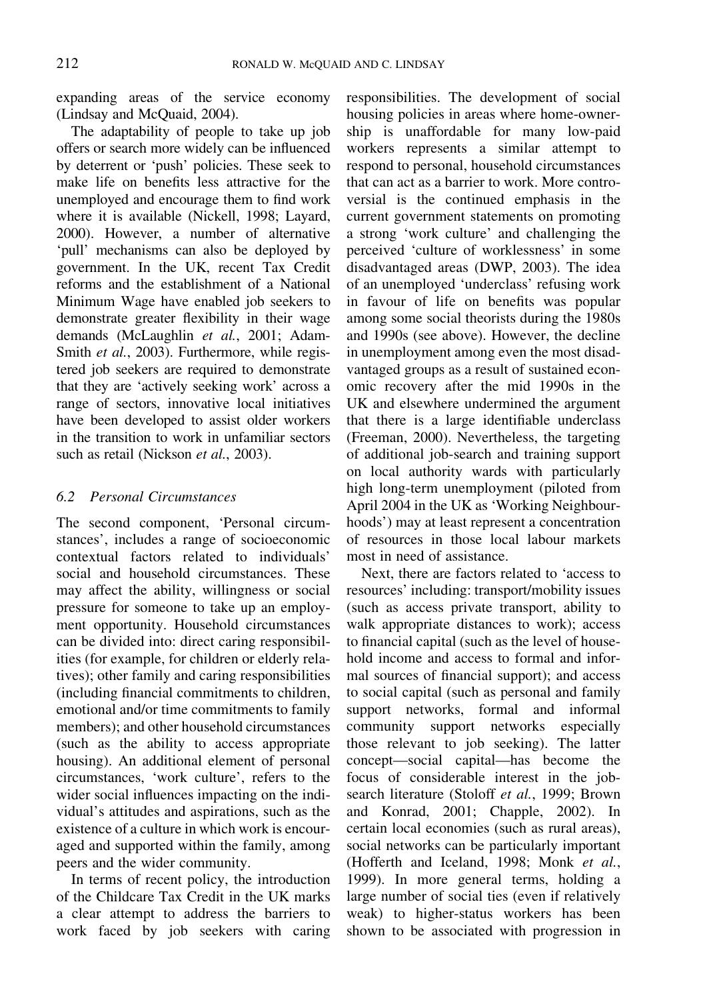expanding areas of the service economy (Lindsay and McQuaid, 2004).

The adaptability of people to take up job offers or search more widely can be influenced by deterrent or 'push' policies. These seek to make life on benefits less attractive for the unemployed and encourage them to find work where it is available (Nickell, 1998; Layard, 2000). However, a number of alternative 'pull' mechanisms can also be deployed by government. In the UK, recent Tax Credit reforms and the establishment of a National Minimum Wage have enabled job seekers to demonstrate greater flexibility in their wage demands (McLaughlin et al., 2001; Adam-Smith et al., 2003). Furthermore, while registered job seekers are required to demonstrate that they are 'actively seeking work' across a range of sectors, innovative local initiatives have been developed to assist older workers in the transition to work in unfamiliar sectors such as retail (Nickson et al., 2003).

#### 6.2 Personal Circumstances

The second component, 'Personal circumstances', includes a range of socioeconomic contextual factors related to individuals' social and household circumstances. These may affect the ability, willingness or social pressure for someone to take up an employment opportunity. Household circumstances can be divided into: direct caring responsibilities (for example, for children or elderly relatives); other family and caring responsibilities (including financial commitments to children, emotional and/or time commitments to family members); and other household circumstances (such as the ability to access appropriate housing). An additional element of personal circumstances, 'work culture', refers to the wider social influences impacting on the individual's attitudes and aspirations, such as the existence of a culture in which work is encouraged and supported within the family, among peers and the wider community.

In terms of recent policy, the introduction of the Childcare Tax Credit in the UK marks a clear attempt to address the barriers to work faced by job seekers with caring responsibilities. The development of social housing policies in areas where home-ownership is unaffordable for many low-paid workers represents a similar attempt to respond to personal, household circumstances that can act as a barrier to work. More controversial is the continued emphasis in the current government statements on promoting a strong 'work culture' and challenging the perceived 'culture of worklessness' in some disadvantaged areas (DWP, 2003). The idea of an unemployed 'underclass' refusing work in favour of life on benefits was popular among some social theorists during the 1980s and 1990s (see above). However, the decline in unemployment among even the most disadvantaged groups as a result of sustained economic recovery after the mid 1990s in the UK and elsewhere undermined the argument that there is a large identifiable underclass (Freeman, 2000). Nevertheless, the targeting of additional job-search and training support on local authority wards with particularly high long-term unemployment (piloted from April 2004 in the UK as 'Working Neighbourhoods') may at least represent a concentration of resources in those local labour markets most in need of assistance.

Next, there are factors related to 'access to resources' including: transport/mobility issues (such as access private transport, ability to walk appropriate distances to work); access to financial capital (such as the level of household income and access to formal and informal sources of financial support); and access to social capital (such as personal and family support networks, formal and informal community support networks especially those relevant to job seeking). The latter concept—social capital—has become the focus of considerable interest in the jobsearch literature (Stoloff et al., 1999; Brown and Konrad, 2001; Chapple, 2002). In certain local economies (such as rural areas), social networks can be particularly important (Hofferth and Iceland, 1998; Monk et al., 1999). In more general terms, holding a large number of social ties (even if relatively weak) to higher-status workers has been shown to be associated with progression in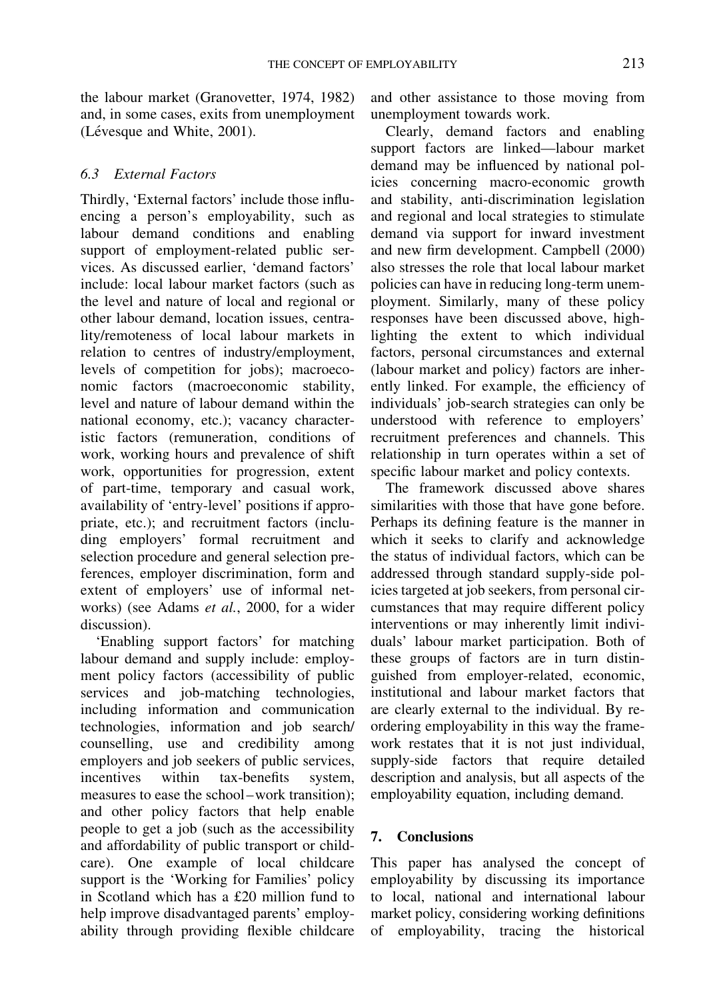the labour market (Granovetter, 1974, 1982) and, in some cases, exits from unemployment (Lévesque and White, 2001).

#### 6.3 External Factors

Thirdly, 'External factors' include those influencing a person's employability, such as labour demand conditions and enabling support of employment-related public services. As discussed earlier, 'demand factors' include: local labour market factors (such as the level and nature of local and regional or other labour demand, location issues, centrality/remoteness of local labour markets in relation to centres of industry/employment, levels of competition for jobs); macroeconomic factors (macroeconomic stability, level and nature of labour demand within the national economy, etc.); vacancy characteristic factors (remuneration, conditions of work, working hours and prevalence of shift work, opportunities for progression, extent of part-time, temporary and casual work, availability of 'entry-level' positions if appropriate, etc.); and recruitment factors (including employers' formal recruitment and selection procedure and general selection preferences, employer discrimination, form and extent of employers' use of informal networks) (see Adams et al., 2000, for a wider discussion).

'Enabling support factors' for matching labour demand and supply include: employment policy factors (accessibility of public services and job-matching technologies, including information and communication technologies, information and job search/ counselling, use and credibility among employers and job seekers of public services, incentives within tax-benefits system, measures to ease the school–work transition); and other policy factors that help enable people to get a job (such as the accessibility and affordability of public transport or childcare). One example of local childcare support is the 'Working for Families' policy in Scotland which has a £20 million fund to help improve disadvantaged parents' employability through providing flexible childcare

and other assistance to those moving from unemployment towards work.

Clearly, demand factors and enabling support factors are linked—labour market demand may be influenced by national policies concerning macro-economic growth and stability, anti-discrimination legislation and regional and local strategies to stimulate demand via support for inward investment and new firm development. Campbell (2000) also stresses the role that local labour market policies can have in reducing long-term unemployment. Similarly, many of these policy responses have been discussed above, highlighting the extent to which individual factors, personal circumstances and external (labour market and policy) factors are inherently linked. For example, the efficiency of individuals' job-search strategies can only be understood with reference to employers' recruitment preferences and channels. This relationship in turn operates within a set of specific labour market and policy contexts.

The framework discussed above shares similarities with those that have gone before. Perhaps its defining feature is the manner in which it seeks to clarify and acknowledge the status of individual factors, which can be addressed through standard supply-side policies targeted at job seekers, from personal circumstances that may require different policy interventions or may inherently limit individuals' labour market participation. Both of these groups of factors are in turn distinguished from employer-related, economic, institutional and labour market factors that are clearly external to the individual. By reordering employability in this way the framework restates that it is not just individual. supply-side factors that require detailed description and analysis, but all aspects of the employability equation, including demand.

## 7. Conclusions

This paper has analysed the concept of employability by discussing its importance to local, national and international labour market policy, considering working definitions of employability, tracing the historical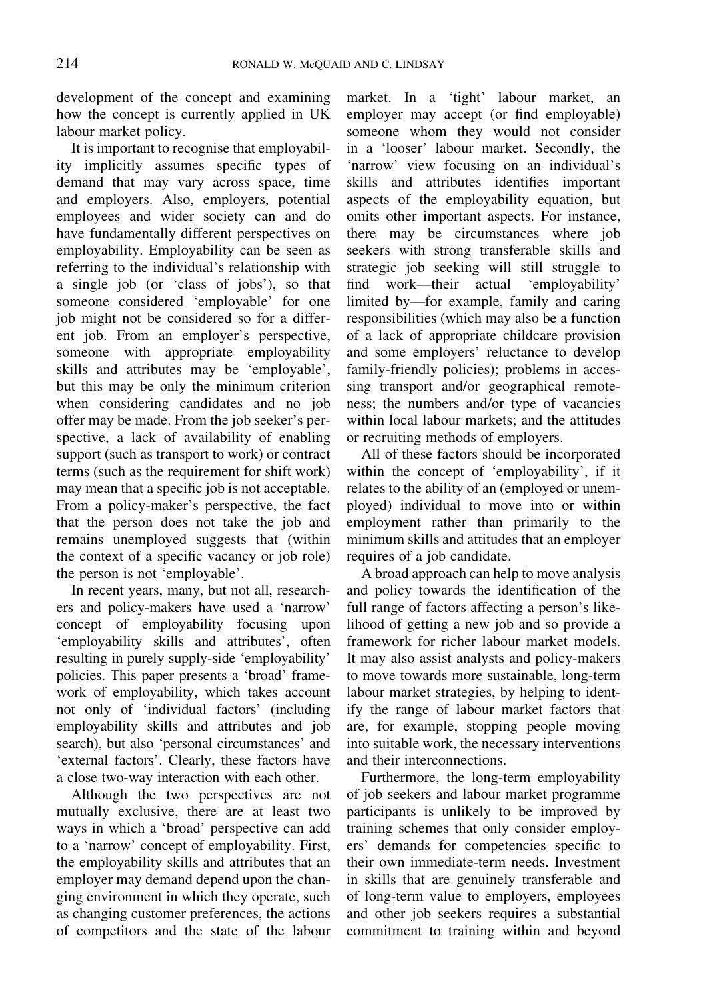development of the concept and examining how the concept is currently applied in UK labour market policy.

It is important to recognise that employability implicitly assumes specific types of demand that may vary across space, time and employers. Also, employers, potential employees and wider society can and do have fundamentally different perspectives on employability. Employability can be seen as referring to the individual's relationship with a single job (or 'class of jobs'), so that someone considered 'employable' for one job might not be considered so for a different job. From an employer's perspective, someone with appropriate employability skills and attributes may be 'employable', but this may be only the minimum criterion when considering candidates and no job offer may be made. From the job seeker's perspective, a lack of availability of enabling support (such as transport to work) or contract terms (such as the requirement for shift work) may mean that a specific job is not acceptable. From a policy-maker's perspective, the fact that the person does not take the job and remains unemployed suggests that (within the context of a specific vacancy or job role) the person is not 'employable'.

In recent years, many, but not all, researchers and policy-makers have used a 'narrow' concept of employability focusing upon 'employability skills and attributes', often resulting in purely supply-side 'employability' policies. This paper presents a 'broad' framework of employability, which takes account not only of 'individual factors' (including employability skills and attributes and job search), but also 'personal circumstances' and 'external factors'. Clearly, these factors have a close two-way interaction with each other.

Although the two perspectives are not mutually exclusive, there are at least two ways in which a 'broad' perspective can add to a 'narrow' concept of employability. First, the employability skills and attributes that an employer may demand depend upon the changing environment in which they operate, such as changing customer preferences, the actions of competitors and the state of the labour market. In a 'tight' labour market, an employer may accept (or find employable) someone whom they would not consider in a 'looser' labour market. Secondly, the 'narrow' view focusing on an individual's skills and attributes identifies important aspects of the employability equation, but omits other important aspects. For instance, there may be circumstances where job seekers with strong transferable skills and strategic job seeking will still struggle to find work—their actual 'employability' limited by—for example, family and caring responsibilities (which may also be a function of a lack of appropriate childcare provision and some employers' reluctance to develop family-friendly policies); problems in accessing transport and/or geographical remoteness; the numbers and/or type of vacancies within local labour markets; and the attitudes or recruiting methods of employers.

All of these factors should be incorporated within the concept of 'employability', if it relates to the ability of an (employed or unemployed) individual to move into or within employment rather than primarily to the minimum skills and attitudes that an employer requires of a job candidate.

A broad approach can help to move analysis and policy towards the identification of the full range of factors affecting a person's likelihood of getting a new job and so provide a framework for richer labour market models. It may also assist analysts and policy-makers to move towards more sustainable, long-term labour market strategies, by helping to identify the range of labour market factors that are, for example, stopping people moving into suitable work, the necessary interventions and their interconnections.

Furthermore, the long-term employability of job seekers and labour market programme participants is unlikely to be improved by training schemes that only consider employers' demands for competencies specific to their own immediate-term needs. Investment in skills that are genuinely transferable and of long-term value to employers, employees and other job seekers requires a substantial commitment to training within and beyond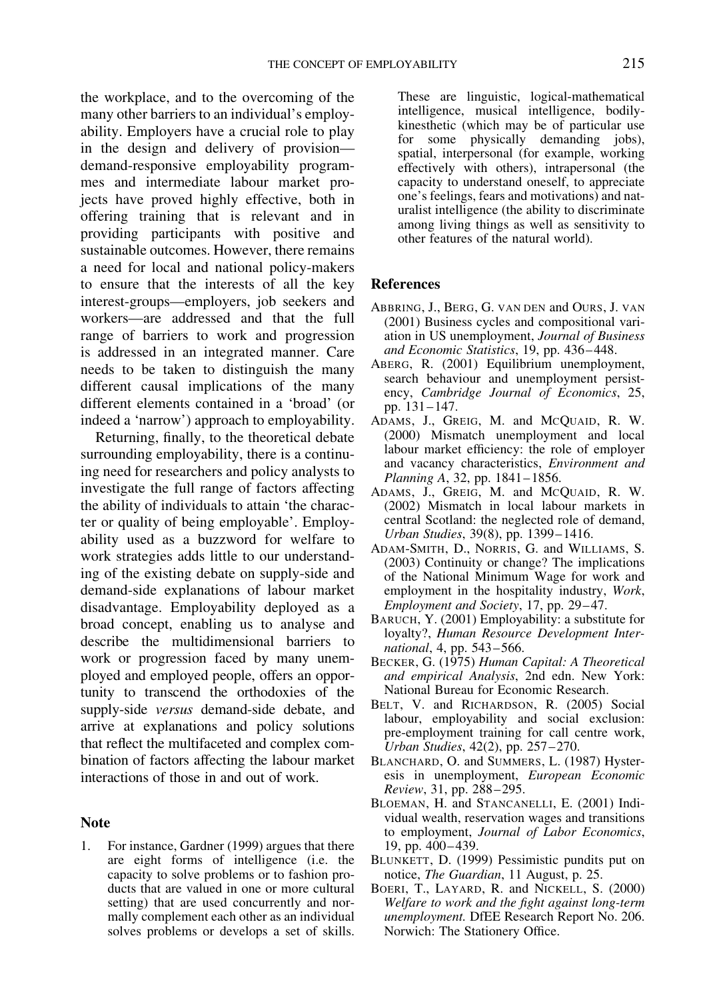the workplace, and to the overcoming of the many other barriers to an individual's employability. Employers have a crucial role to play in the design and delivery of provision demand-responsive employability programmes and intermediate labour market projects have proved highly effective, both in offering training that is relevant and in providing participants with positive and sustainable outcomes. However, there remains a need for local and national policy-makers to ensure that the interests of all the key interest-groups—employers, job seekers and workers—are addressed and that the full range of barriers to work and progression is addressed in an integrated manner. Care needs to be taken to distinguish the many different causal implications of the many different elements contained in a 'broad' (or indeed a 'narrow') approach to employability.

Returning, finally, to the theoretical debate surrounding employability, there is a continuing need for researchers and policy analysts to investigate the full range of factors affecting the ability of individuals to attain 'the character or quality of being employable'. Employability used as a buzzword for welfare to work strategies adds little to our understanding of the existing debate on supply-side and demand-side explanations of labour market disadvantage. Employability deployed as a broad concept, enabling us to analyse and describe the multidimensional barriers to work or progression faced by many unemployed and employed people, offers an opportunity to transcend the orthodoxies of the supply-side versus demand-side debate, and arrive at explanations and policy solutions that reflect the multifaceted and complex combination of factors affecting the labour market interactions of those in and out of work.

#### Note

1. For instance, Gardner (1999) argues that there are eight forms of intelligence (i.e. the capacity to solve problems or to fashion products that are valued in one or more cultural setting) that are used concurrently and normally complement each other as an individual solves problems or develops a set of skills. These are linguistic, logical-mathematical intelligence, musical intelligence, bodilykinesthetic (which may be of particular use for some physically demanding jobs), spatial, interpersonal (for example, working effectively with others), intrapersonal (the capacity to understand oneself, to appreciate one's feelings, fears and motivations) and naturalist intelligence (the ability to discriminate among living things as well as sensitivity to other features of the natural world).

#### **References**

- ABBRING, J., BERG, G. VAN DEN and OURS, J. VAN (2001) Business cycles and compositional variation in US unemployment, Journal of Business and Economic Statistics, 19, pp. 436–448.
- ABERG, R. (2001) Equilibrium unemployment, search behaviour and unemployment persistency, Cambridge Journal of Economics, 25, pp. 131–147.
- ADAMS, J., GREIG, M. and MCQUAID, R. W. (2000) Mismatch unemployment and local labour market efficiency: the role of employer and vacancy characteristics, Environment and Planning A, 32, pp. 1841–1856.
- ADAMS, J., GREIG, M. and MCQUAID, R. W. (2002) Mismatch in local labour markets in central Scotland: the neglected role of demand, Urban Studies, 39(8), pp. 1399–1416.
- ADAM-SMITH, D., NORRIS, G. and WILLIAMS, S. (2003) Continuity or change? The implications of the National Minimum Wage for work and employment in the hospitality industry, Work, Employment and Society, 17, pp. 29–47.
- BARUCH, Y. (2001) Employability: a substitute for loyalty?, Human Resource Development International, 4, pp. 543–566.
- BECKER, G. (1975) Human Capital: A Theoretical and empirical Analysis, 2nd edn. New York: National Bureau for Economic Research.
- BELT, V. and RICHARDSON, R. (2005) Social labour, employability and social exclusion: pre-employment training for call centre work, Urban Studies, 42(2), pp. 257–270.
- BLANCHARD, O. and SUMMERS, L. (1987) Hysteresis in unemployment, European Economic Review, 31, pp. 288–295.
- BLOEMAN, H. and STANCANELLI, E. (2001) Individual wealth, reservation wages and transitions to employment, Journal of Labor Economics, 19, pp. 400–439.
- BLUNKETT, D. (1999) Pessimistic pundits put on notice, The Guardian, 11 August, p. 25.
- BOERI, T., LAYARD, R. and NICKELL, S. (2000) Welfare to work and the fight against long-term unemployment. DfEE Research Report No. 206. Norwich: The Stationery Office.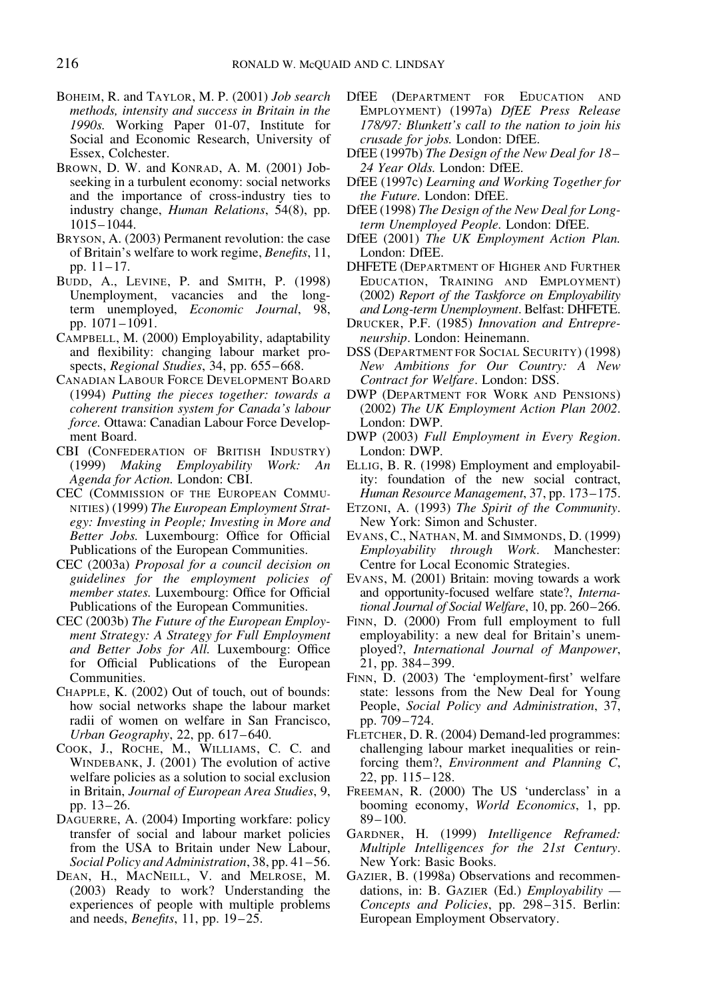- BOHEIM, R. and TAYLOR, M. P. (2001) Job search methods, intensity and success in Britain in the 1990s. Working Paper 01-07, Institute for Social and Economic Research, University of Essex, Colchester.
- BROWN, D. W. and KONRAD, A. M. (2001) Jobseeking in a turbulent economy: social networks and the importance of cross-industry ties to industry change, Human Relations, 54(8), pp. 1015–1044.
- BRYSON, A. (2003) Permanent revolution: the case of Britain's welfare to work regime, Benefits, 11, pp. 11–17.
- BUDD, A., LEVINE, P. and SMITH, P. (1998) Unemployment, vacancies and the longterm unemployed, Economic Journal, 98, pp. 1071–1091.
- CAMPBELL, M. (2000) Employability, adaptability and flexibility: changing labour market prospects, Regional Studies, 34, pp. 655–668.
- CANADIAN LABOUR FORCE DEVELOPMENT BOARD (1994) Putting the pieces together: towards a coherent transition system for Canada's labour force. Ottawa: Canadian Labour Force Development Board.
- CBI (CONFEDERATION OF BRITISH INDUSTRY) (1999) Making Employability Work: An Agenda for Action. London: CBI.
- CEC (COMMISSION OF THE EUROPEAN COMMU-NITIES) (1999) The European Employment Strategy: Investing in People; Investing in More and Better Jobs. Luxembourg: Office for Official Publications of the European Communities.
- CEC (2003a) Proposal for a council decision on guidelines for the employment policies of member states. Luxembourg: Office for Official Publications of the European Communities.
- CEC (2003b) The Future of the European Employment Strategy: A Strategy for Full Employment and Better Jobs for All. Luxembourg: Office for Official Publications of the European Communities.
- CHAPPLE, K. (2002) Out of touch, out of bounds: how social networks shape the labour market radii of women on welfare in San Francisco, Urban Geography, 22, pp. 617–640.
- COOK, J., ROCHE, M., WILLIAMS, C. C. and WINDEBANK, J. (2001) The evolution of active welfare policies as a solution to social exclusion in Britain, Journal of European Area Studies, 9, pp. 13–26.
- DAGUERRE, A. (2004) Importing workfare: policy transfer of social and labour market policies from the USA to Britain under New Labour, Social Policy and Administration, 38, pp. 41–56.
- DEAN, H., MACNEILL, V. and MELROSE, M. (2003) Ready to work? Understanding the experiences of people with multiple problems and needs, Benefits, 11, pp. 19–25.
- DfEE (DEPARTMENT FOR EDUCATION AND EMPLOYMENT) (1997a) DfEE Press Release 178/97: Blunkett's call to the nation to join his crusade for jobs. London: DfEE.
- DfEE (1997b) The Design of the New Deal for 18– 24 Year Olds. London: DfEE.
- DfEE (1997c) Learning and Working Together for the Future. London: DfEE.
- DfEE (1998) The Design of the New Deal for Longterm Unemployed People. London: DfEE.
- DfEE (2001) The UK Employment Action Plan. London: DfEE.
- DHFETE (DEPARTMENT OF HIGHER AND FURTHER EDUCATION, TRAINING AND EMPLOYMENT) (2002) Report of the Taskforce on Employability and Long-term Unemployment. Belfast: DHFETE.
- DRUCKER, P.F. (1985) Innovation and Entrepreneurship. London: Heinemann.
- DSS (DEPARTMENT FOR SOCIAL SECURITY) (1998) New Ambitions for Our Country: A New Contract for Welfare. London: DSS.
- DWP (DEPARTMENT FOR WORK AND PENSIONS) (2002) The UK Employment Action Plan 2002. London: DWP.
- DWP (2003) Full Employment in Every Region. London: DWP.
- ELLIG, B. R. (1998) Employment and employability: foundation of the new social contract, Human Resource Management, 37, pp. 173–175.
- ETZONI, A. (1993) The Spirit of the Community. New York: Simon and Schuster.
- EVANS, C., NATHAN, M. and SIMMONDS, D. (1999) Employability through Work. Manchester: Centre for Local Economic Strategies.
- EVANS, M. (2001) Britain: moving towards a work and opportunity-focused welfare state?, International Journal of Social Welfare, 10, pp. 260–266.
- FINN, D. (2000) From full employment to full employability: a new deal for Britain's unemployed?, International Journal of Manpower, 21, pp. 384–399.
- FINN, D. (2003) The 'employment-first' welfare state: lessons from the New Deal for Young People, Social Policy and Administration, 37, pp. 709–724.
- FLETCHER, D. R. (2004) Demand-led programmes: challenging labour market inequalities or reinforcing them?, Environment and Planning C, 22, pp. 115–128.
- FREEMAN, R. (2000) The US 'underclass' in a booming economy, World Economics, 1, pp. 89–100.
- GARDNER, H. (1999) Intelligence Reframed: Multiple Intelligences for the 21st Century. New York: Basic Books.
- GAZIER, B. (1998a) Observations and recommendations, in: B. GAZIER (Ed.) Employability -Concepts and Policies, pp. 298–315. Berlin: European Employment Observatory.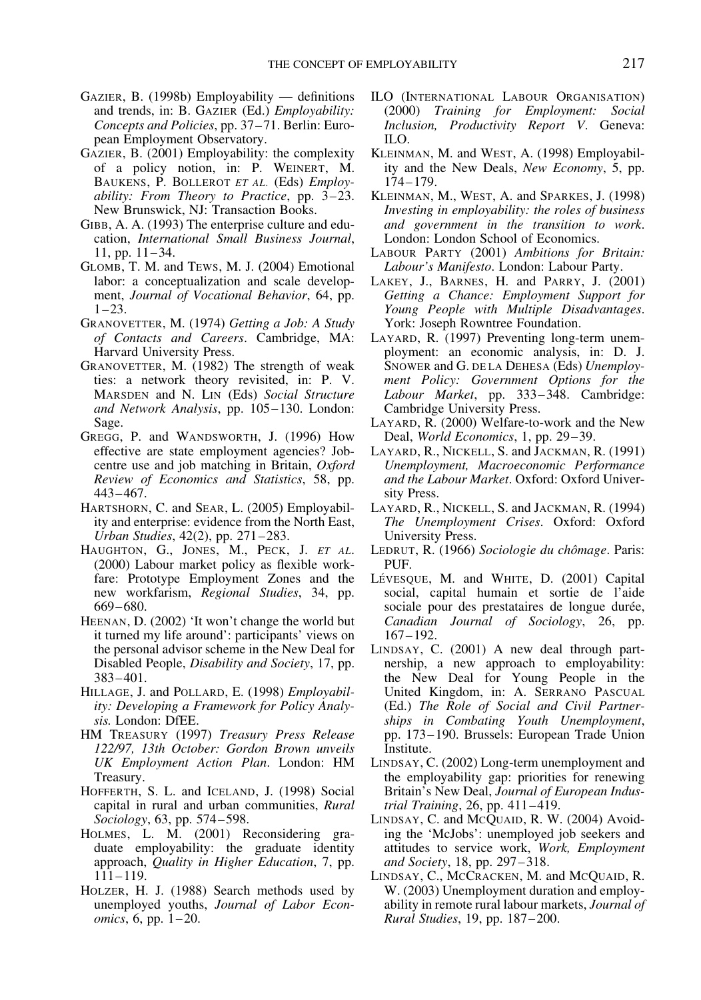- GAZIER, B. (1998b) Employability definitions and trends, in: B. GAZIER (Ed.) Employability: Concepts and Policies, pp. 37–71. Berlin: European Employment Observatory.
- GAZIER, B. (2001) Employability: the complexity of a policy notion, in: P. WEINERT, M. BAUKENS, P. BOLLEROT ET AL. (Eds) Employability: From Theory to Practice, pp. 3–23. New Brunswick, NJ: Transaction Books.
- GIBB, A. A. (1993) The enterprise culture and education, International Small Business Journal, 11, pp. 11–34.
- GLOMB, T. M. and TEWS, M. J. (2004) Emotional labor: a conceptualization and scale development, Journal of Vocational Behavior, 64, pp.  $1-23.$
- GRANOVETTER, M. (1974) Getting a Job: A Study of Contacts and Careers. Cambridge, MA: Harvard University Press.
- GRANOVETTER, M. (1982) The strength of weak ties: a network theory revisited, in: P. V. MARSDEN and N. LIN (Eds) Social Structure and Network Analysis, pp. 105–130. London: Sage.
- GREGG, P. and WANDSWORTH, J. (1996) How effective are state employment agencies? Jobcentre use and job matching in Britain, Oxford Review of Economics and Statistics, 58, pp. 443–467.
- HARTSHORN, C. and SEAR, L. (2005) Employability and enterprise: evidence from the North East, Urban Studies, 42(2), pp. 271–283.
- HAUGHTON, G., JONES, M., PECK, J. ET AL. (2000) Labour market policy as flexible workfare: Prototype Employment Zones and the new workfarism, Regional Studies, 34, pp. 669–680.
- HEENAN, D. (2002) 'It won't change the world but it turned my life around': participants' views on the personal advisor scheme in the New Deal for Disabled People, Disability and Society, 17, pp. 383–401.
- HILLAGE, J. and POLLARD, E. (1998) Employability: Developing a Framework for Policy Analysis. London: DfEE.
- HM TREASURY (1997) Treasury Press Release 122/97, 13th October: Gordon Brown unveils UK Employment Action Plan. London: HM Treasury.
- HOFFERTH, S. L. and ICELAND, J. (1998) Social capital in rural and urban communities, Rural Sociology, 63, pp. 574–598.
- HOLMES, L. M. (2001) Reconsidering graduate employability: the graduate identity approach, Quality in Higher Education, 7, pp. 111–119.
- HOLZER, H. J. (1988) Search methods used by unemployed youths, Journal of Labor Economics, 6, pp. 1–20.
- ILO (INTERNATIONAL LABOUR ORGANISATION) (2000) Training for Employment: Social Inclusion, Productivity Report V. Geneva: ILO.
- KLEINMAN, M. and WEST, A. (1998) Employability and the New Deals, New Economy, 5, pp. 174–179.
- KLEINMAN, M., WEST, A. and SPARKES, J. (1998) Investing in employability: the roles of business and government in the transition to work. London: London School of Economics.
- LABOUR PARTY (2001) Ambitions for Britain: Labour's Manifesto. London: Labour Party.
- LAKEY, J., BARNES, H. and PARRY, J. (2001) Getting a Chance: Employment Support for Young People with Multiple Disadvantages. York: Joseph Rowntree Foundation.
- LAYARD, R. (1997) Preventing long-term unemployment: an economic analysis, in: D. J. SNOWER and G. DELA DEHESA (Eds) Unemployment Policy: Government Options for the Labour Market, pp. 333–348. Cambridge: Cambridge University Press.
- LAYARD, R. (2000) Welfare-to-work and the New Deal, World Economics, 1, pp. 29–39.
- LAYARD, R., NICKELL, S. and JACKMAN, R. (1991) Unemployment, Macroeconomic Performance and the Labour Market. Oxford: Oxford University Press.
- LAYARD, R., NICKELL, S. and JACKMAN, R. (1994) The Unemployment Crises. Oxford: Oxford University Press.
- LEDRUT, R. (1966) Sociologie du chômage. Paris: PUF.
- LÉVESQUE, M. and WHITE, D. (2001) Capital social, capital humain et sortie de l'aide sociale pour des prestataires de longue durée, Canadian Journal of Sociology, 26, pp. 167–192.
- LINDSAY, C. (2001) A new deal through partnership, a new approach to employability: the New Deal for Young People in the United Kingdom, in: A. SERRANO PASCUAL (Ed.) The Role of Social and Civil Partnerships in Combating Youth Unemployment, pp. 173–190. Brussels: European Trade Union Institute.
- LINDSAY, C. (2002) Long-term unemployment and the employability gap: priorities for renewing Britain's New Deal, Journal of European Industrial Training, 26, pp. 411–419.
- LINDSAY, C. and MCQUAID, R. W. (2004) Avoiding the 'McJobs': unemployed job seekers and attitudes to service work, Work, Employment and Society, 18, pp. 297–318.
- LINDSAY, C., MCCRACKEN, M. and MCQUAID, R. W. (2003) Unemployment duration and employability in remote rural labour markets, Journal of Rural Studies, 19, pp. 187–200.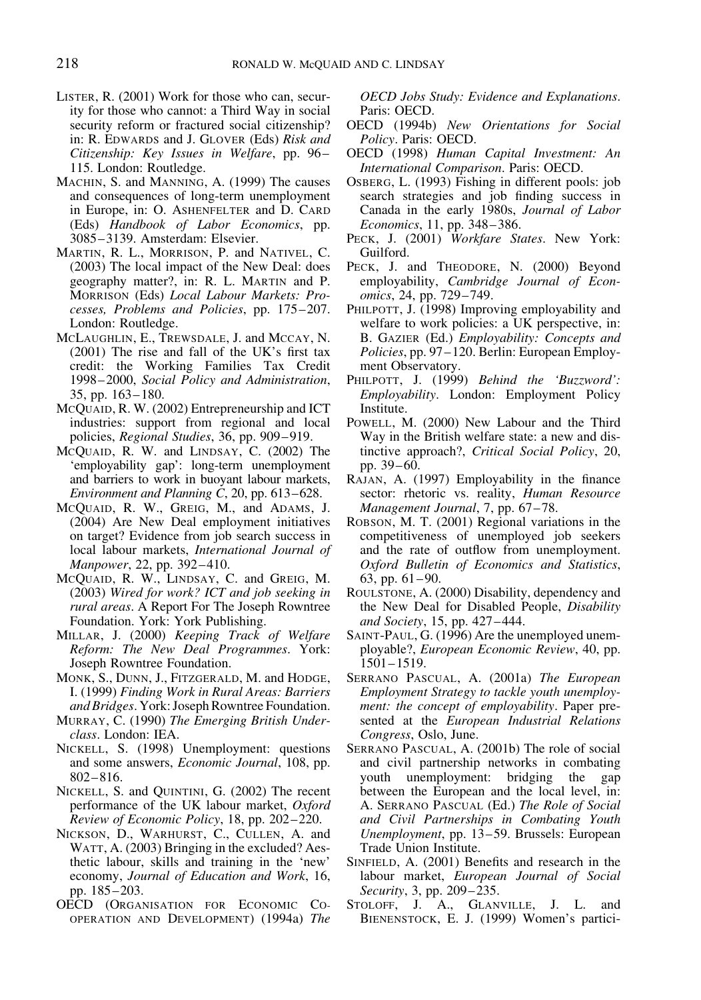- LISTER, R. (2001) Work for those who can, security for those who cannot: a Third Way in social security reform or fractured social citizenship? in: R. EDWARDS and J. GLOVER (Eds) Risk and Citizenship: Key Issues in Welfare, pp. 96– 115. London: Routledge.
- MACHIN, S. and MANNING, A. (1999) The causes and consequences of long-term unemployment in Europe, in: O. ASHENFELTER and D. CARD (Eds) Handbook of Labor Economics, pp. 3085–3139. Amsterdam: Elsevier.
- MARTIN, R. L., MORRISON, P. and NATIVEL, C. (2003) The local impact of the New Deal: does geography matter?, in: R. L. MARTIN and P. MORRISON (Eds) Local Labour Markets: Processes, Problems and Policies, pp. 175–207. London: Routledge.
- MCLAUGHLIN, E., TREWSDALE, J. and MCCAY, N. (2001) The rise and fall of the UK's first tax credit: the Working Families Tax Credit 1998–2000, Social Policy and Administration, 35, pp. 163–180.
- MCQUAID, R. W. (2002) Entrepreneurship and ICT industries: support from regional and local policies, Regional Studies, 36, pp. 909–919.
- MCQUAID, R. W. and LINDSAY, C. (2002) The 'employability gap': long-term unemployment and barriers to work in buoyant labour markets, Environment and Planning C, 20, pp. 613–628.
- MCQUAID, R. W., GREIG, M., and ADAMS, J. (2004) Are New Deal employment initiatives on target? Evidence from job search success in local labour markets, International Journal of Manpower, 22, pp. 392–410.
- MCQUAID, R. W., LINDSAY, C. and GREIG, M. (2003) Wired for work? ICT and job seeking in rural areas. A Report For The Joseph Rowntree Foundation. York: York Publishing.
- MILLAR, J. (2000) Keeping Track of Welfare Reform: The New Deal Programmes. York: Joseph Rowntree Foundation.
- MONK, S., DUNN, J., FITZGERALD, M. and HODGE, I. (1999) Finding Work in Rural Areas: Barriers and Bridges. York: Joseph Rowntree Foundation.
- MURRAY, C. (1990) The Emerging British Underclass. London: IEA.
- NICKELL, S. (1998) Unemployment: questions and some answers, Economic Journal, 108, pp. 802–816.
- NICKELL, S. and QUINTINI, G. (2002) The recent performance of the UK labour market, Oxford Review of Economic Policy, 18, pp. 202–220.
- NICKSON, D., WARHURST, C., CULLEN, A. and WATT, A. (2003) Bringing in the excluded? Aesthetic labour, skills and training in the 'new' economy, Journal of Education and Work, 16, pp. 185–203.
- OECD (ORGANISATION FOR ECONOMIC CO-OPERATION AND DEVELOPMENT) (1994a) The

OECD Jobs Study: Evidence and Explanations. Paris: OECD.

- OECD (1994b) New Orientations for Social Policy. Paris: OECD.
- OECD (1998) Human Capital Investment: An International Comparison. Paris: OECD.
- OSBERG, L. (1993) Fishing in different pools: job search strategies and job finding success in Canada in the early 1980s, Journal of Labor Economics, 11, pp. 348–386.
- PECK, J. (2001) Workfare States. New York: Guilford.
- PECK, J. and THEODORE, N. (2000) Beyond employability, Cambridge Journal of Economics, 24, pp. 729–749.
- PHILPOTT, J. (1998) Improving employability and welfare to work policies: a UK perspective, in: B. GAZIER (Ed.) Employability: Concepts and Policies, pp. 97–120. Berlin: European Employment Observatory.
- PHILPOTT, J. (1999) Behind the 'Buzzword': Employability. London: Employment Policy Institute.
- POWELL, M. (2000) New Labour and the Third Way in the British welfare state: a new and distinctive approach?, Critical Social Policy, 20, pp. 39–60.
- RAJAN, A. (1997) Employability in the finance sector: rhetoric vs. reality, Human Resource Management Journal, 7, pp. 67–78.
- ROBSON, M. T. (2001) Regional variations in the competitiveness of unemployed job seekers and the rate of outflow from unemployment. Oxford Bulletin of Economics and Statistics, 63, pp. 61–90.
- ROULSTONE, A. (2000) Disability, dependency and the New Deal for Disabled People, Disability and Society, 15, pp. 427–444.
- SAINT-PAUL, G. (1996) Are the unemployed unemployable?, European Economic Review, 40, pp. 1501–1519.
- SERRANO PASCUAL, A. (2001a) The European Employment Strategy to tackle youth unemployment: the concept of employability. Paper presented at the European Industrial Relations Congress, Oslo, June.
- SERRANO PASCUAL, A. (2001b) The role of social and civil partnership networks in combating youth unemployment: bridging the gap between the European and the local level, in: A. SERRANO PASCUAL (Ed.) The Role of Social and Civil Partnerships in Combating Youth Unemployment, pp. 13–59. Brussels: European Trade Union Institute.
- SINFIELD, A. (2001) Benefits and research in the labour market, European Journal of Social Security, 3, pp. 209–235.
- STOLOFF, J. A., GLANVILLE, J. L. and BIENENSTOCK, E. J. (1999) Women's partici-